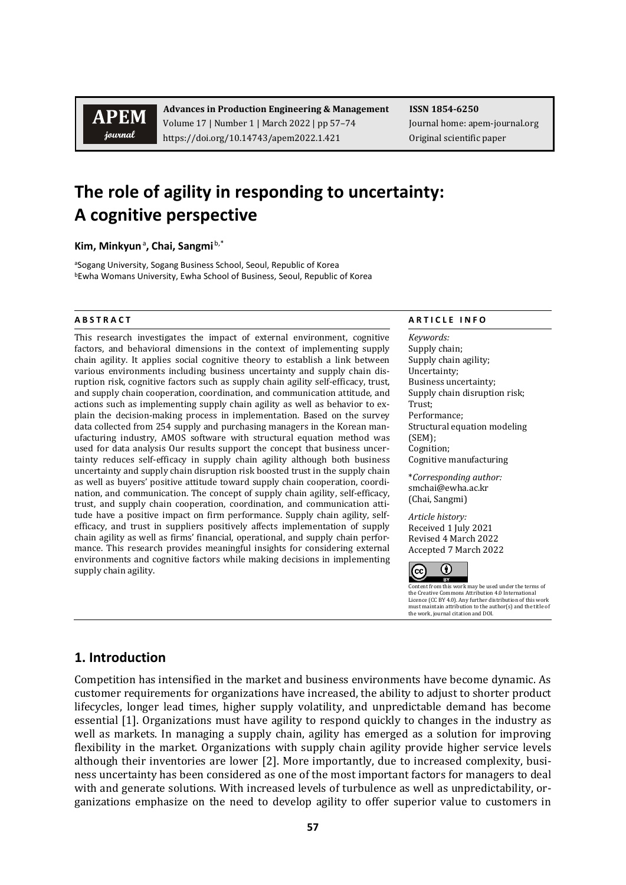**APEM** journal

**Advances in Production Engineering & Management ISSN 1854-6250** Volume 17 | Number 1 | March 2022 | pp 57–74 Journal home: apem-journal.org https://doi.org/10.14743/apem2022.1.421 Original scientific paper

# **The role of agility in responding to uncertainty: A cognitive perspective**

**Kim, Minkyun**<sup>a</sup> **, Chai, Sangmi** b,\*

aSogang University, Sogang Business School, Seoul, Republic of Korea bEwha Womans University, Ewha School of Business, Seoul, Republic of Korea

This research investigates the impact of external environment, cognitive factors, and behavioral dimensions in the context of implementing supply chain agility. It applies social cognitive theory to establish a link between various environments including business uncertainty and supply chain disruption risk, cognitive factors such as supply chain agility self-efficacy, trust, and supply chain cooperation, coordination, and communication attitude, and actions such as implementing supply chain agility as well as behavior to explain the decision-making process in implementation. Based on the survey data collected from 254 supply and purchasing managers in the Korean manufacturing industry, AMOS software with structural equation method was used for data analysis Our results support the concept that business uncertainty reduces self-efficacy in supply chain agility although both business uncertainty and supply chain disruption risk boosted trust in the supply chain as well as buyers' positive attitude toward supply chain cooperation, coordination, and communication. The concept of supply chain agility, self-efficacy, trust, and supply chain cooperation, coordination, and communication attitude have a positive impact on firm performance. Supply chain agility, selfefficacy, and trust in suppliers positively affects implementation of supply chain agility as well as firms' financial, operational, and supply chain performance. This research provides meaningful insights for considering external environments and cognitive factors while making decisions in implementing supply chain agility.

#### **A B S T R A C T A R T I C L E I N F O**

*Keywords:* Supply chain; Supply chain agility; Uncertainty; Business uncertainty; Supply chain disruption risk; Trust; Performance; Structural equation modeling (SEM); Cognition; Cognitive manufacturing

\**Corresponding author:*  smchai@ewha.ac.kr (Chai, Sangmi)

*Article history:*  Received 1 July 2021 Revised 4 March 2022 Accepted 7 March 2022



Content from this work may be used under the terms of the Creative Commons Attribution 4.0 International Licence (CC BY 4.0). Any further distribution of this work must maintain attribution to the author(s) and the title of the work, journal citation and DOI.

# **1. Introduction**

Competition has intensified in the market and business environments have become dynamic. As customer requirements for organizations have increased, the ability to adjust to shorter product lifecycles, longer lead times, higher supply volatility, and unpredictable demand has become essential [1]. Organizations must have agility to respond quickly to changes in the industry as well as markets. In managing a supply chain, agility has emerged as a solution for improving flexibility in the market. Organizations with supply chain agility provide higher service levels although their inventories are lower [2]. More importantly, due to increased complexity, business uncertainty has been considered as one of the most important factors for managers to deal with and generate solutions. With increased levels of turbulence as well as unpredictability, organizations emphasize on the need to develop agility to offer superior value to customers in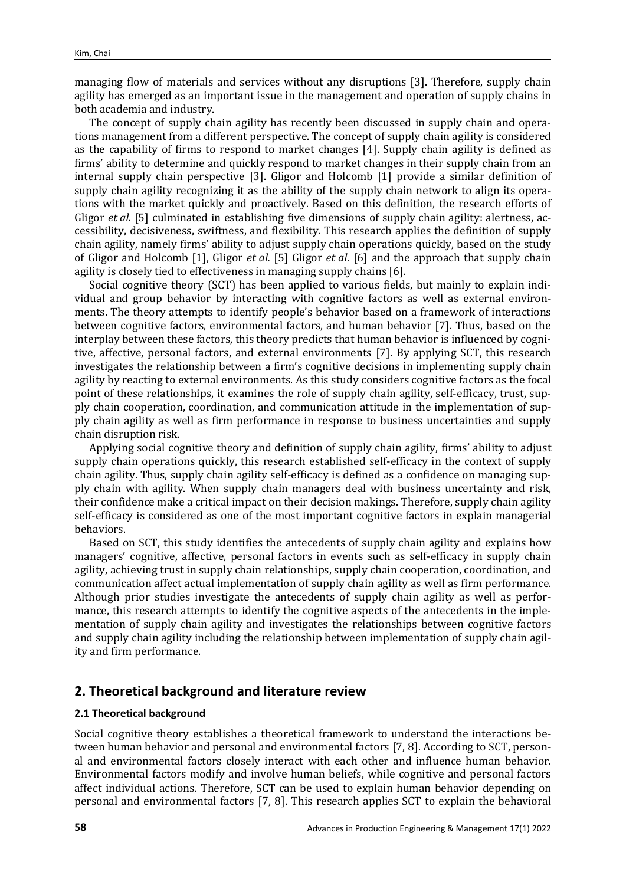managing flow of materials and services without any disruptions [3]. Therefore, supply chain agility has emerged as an important issue in the management and operation of supply chains in both academia and industry.

The concept of supply chain agility has recently been discussed in supply chain and operations management from a different perspective. The concept of supply chain agility is considered as the capability of firms to respond to market changes [4]. Supply chain agility is defined as firms' ability to determine and quickly respond to market changes in their supply chain from an internal supply chain perspective [3]. Gligor and Holcomb [1] provide a similar definition of supply chain agility recognizing it as the ability of the supply chain network to align its operations with the market quickly and proactively. Based on this definition, the research efforts of Gligor *et al.* [5] culminated in establishing five dimensions of supply chain agility: alertness, accessibility, decisiveness, swiftness, and flexibility. This research applies the definition of supply chain agility, namely firms' ability to adjust supply chain operations quickly, based on the study of Gligor and Holcomb [1], Gligor *et al.* [5] Gligor *et al.* [6] and the approach that supply chain agility is closely tied to effectiveness in managing supply chains [6].

Social cognitive theory (SCT) has been applied to various fields, but mainly to explain individual and group behavior by interacting with cognitive factors as well as external environments. The theory attempts to identify people's behavior based on a framework of interactions between cognitive factors, environmental factors, and human behavior [7]. Thus, based on the interplay between these factors, this theory predicts that human behavior is influenced by cognitive, affective, personal factors, and external environments [7]. By applying SCT, this research investigates the relationship between a firm's cognitive decisions in implementing supply chain agility by reacting to external environments. As this study considers cognitive factors as the focal point of these relationships, it examines the role of supply chain agility, self-efficacy, trust, supply chain cooperation, coordination, and communication attitude in the implementation of supply chain agility as well as firm performance in response to business uncertainties and supply chain disruption risk.

Applying social cognitive theory and definition of supply chain agility, firms' ability to adjust supply chain operations quickly, this research established self-efficacy in the context of supply chain agility. Thus, supply chain agility self-efficacy is defined as a confidence on managing supply chain with agility. When supply chain managers deal with business uncertainty and risk, their confidence make a critical impact on their decision makings. Therefore, supply chain agility self-efficacy is considered as one of the most important cognitive factors in explain managerial behaviors.

Based on SCT, this study identifies the antecedents of supply chain agility and explains how managers' cognitive, affective, personal factors in events such as self-efficacy in supply chain agility, achieving trust in supply chain relationships, supply chain cooperation, coordination, and communication affect actual implementation of supply chain agility as well as firm performance. Although prior studies investigate the antecedents of supply chain agility as well as performance, this research attempts to identify the cognitive aspects of the antecedents in the implementation of supply chain agility and investigates the relationships between cognitive factors and supply chain agility including the relationship between implementation of supply chain agility and firm performance.

# **2. Theoretical background and literature review**

#### **2.1 Theoretical background**

Social cognitive theory establishes a theoretical framework to understand the interactions between human behavior and personal and environmental factors [7, 8]. According to SCT, personal and environmental factors closely interact with each other and influence human behavior. Environmental factors modify and involve human beliefs, while cognitive and personal factors affect individual actions. Therefore, SCT can be used to explain human behavior depending on personal and environmental factors [7, 8]. This research applies SCT to explain the behavioral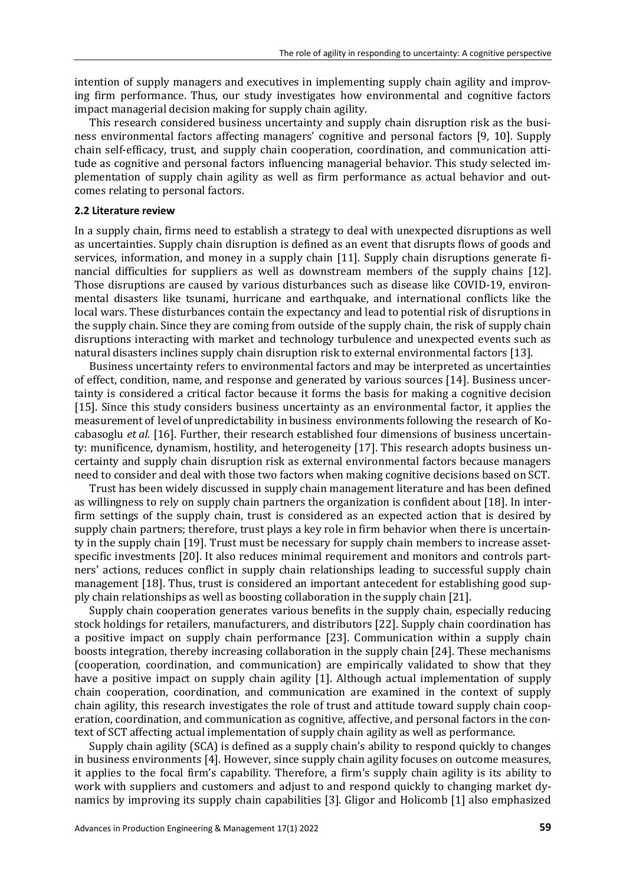intention of supply managers and executives in implementing supply chain agility and improving firm performance. Thus, our study investigates how environmental and cognitive factors impact managerial decision making for supply chain agility.

This research considered business uncertainty and supply chain disruption risk as the business environmental factors affecting managers' cognitive and personal factors [9, 10]. Supply chain self-efficacy, trust, and supply chain cooperation, coordination, and communication attitude as cognitive and personal factors influencing managerial behavior. This study selected implementation of supply chain agility as well as firm performance as actual behavior and outcomes relating to personal factors.

#### **2.2 Literature review**

In a supply chain, firms need to establish a strategy to deal with unexpected disruptions as well as uncertainties. Supply chain disruption is defined as an event that disrupts flows of goods and services, information, and money in a supply chain [11]. Supply chain disruptions generate financial difficulties for suppliers as well as downstream members of the supply chains [12]. Those disruptions are caused by various disturbances such as disease like COVID-19, environmental disasters like tsunami, hurricane and earthquake, and international conflicts like the local wars. These disturbances contain the expectancy and lead to potential risk of disruptions in the supply chain. Since they are coming from outside of the supply chain, the risk of supply chain disruptions interacting with market and technology turbulence and unexpected events such as natural disasters inclines supply chain disruption risk to external environmental factors [13].

Business uncertainty refers to environmental factors and may be interpreted as uncertainties of effect, condition, name, and response and generated by various sources [14]. Business uncertainty is considered a critical factor because it forms the basis for making a cognitive decision [15]. Since this study considers business uncertainty as an environmental factor, it applies the measurement of level of unpredictability in business environments following the research of Kocabasoglu *et al.* [16]. Further, their research established four dimensions of business uncertainty: munificence, dynamism, hostility, and heterogeneity [17]. This research adopts business uncertainty and supply chain disruption risk as external environmental factors because managers need to consider and deal with those two factors when making cognitive decisions based on SCT.

Trust has been widely discussed in supply chain management literature and has been defined as willingness to rely on supply chain partners the organization is confident about [18]. In interfirm settings of the supply chain, trust is considered as an expected action that is desired by supply chain partners; therefore, trust plays a key role in firm behavior when there is uncertainty in the supply chain [19]. Trust must be necessary for supply chain members to increase assetspecific investments [20]. It also reduces minimal requirement and monitors and controls partners' actions, reduces conflict in supply chain relationships leading to successful supply chain management [18]. Thus, trust is considered an important antecedent for establishing good supply chain relationships as well as boosting collaboration in the supply chain [21].

Supply chain cooperation generates various benefits in the supply chain, especially reducing stock holdings for retailers, manufacturers, and distributors [22]. Supply chain coordination has a positive impact on supply chain performance [23]. Communication within a supply chain boosts integration, thereby increasing collaboration in the supply chain [24]. These mechanisms (cooperation, coordination, and communication) are empirically validated to show that they have a positive impact on supply chain agility [1]. Although actual implementation of supply chain cooperation, coordination, and communication are examined in the context of supply chain agility, this research investigates the role of trust and attitude toward supply chain cooperation, coordination, and communication as cognitive, affective, and personal factors in the context of SCT affecting actual implementation of supply chain agility as well as performance.

Supply chain agility (SCA) is defined as a supply chain's ability to respond quickly to changes in business environments [4]. However, since supply chain agility focuses on outcome measures, it applies to the focal firm's capability. Therefore, a firm's supply chain agility is its ability to work with suppliers and customers and adjust to and respond quickly to changing market dynamics by improving its supply chain capabilities [3]. Gligor and Holicomb [1] also emphasized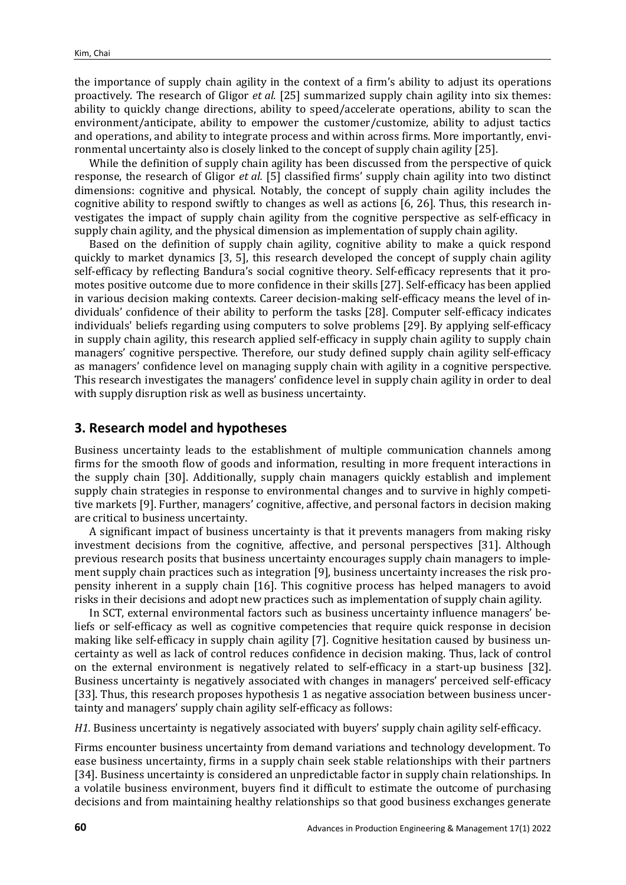the importance of supply chain agility in the context of a firm's ability to adjust its operations proactively. The research of Gligor *et al.* [25] summarized supply chain agility into six themes: ability to quickly change directions, ability to speed/accelerate operations, ability to scan the environment/anticipate, ability to empower the customer/customize, ability to adjust tactics and operations, and ability to integrate process and within across firms. More importantly, environmental uncertainty also is closely linked to the concept of supply chain agility [25].

While the definition of supply chain agility has been discussed from the perspective of quick response, the research of Gligor *et al.* [5] classified firms' supply chain agility into two distinct dimensions: cognitive and physical. Notably, the concept of supply chain agility includes the cognitive ability to respond swiftly to changes as well as actions [6, 26]. Thus, this research investigates the impact of supply chain agility from the cognitive perspective as self-efficacy in supply chain agility, and the physical dimension as implementation of supply chain agility.

Based on the definition of supply chain agility, cognitive ability to make a quick respond quickly to market dynamics [3, 5], this research developed the concept of supply chain agility self-efficacy by reflecting Bandura's social cognitive theory. Self-efficacy represents that it promotes positive outcome due to more confidence in their skills [27]. Self-efficacy has been applied in various decision making contexts. Career decision-making self-efficacy means the level of individuals' confidence of their ability to perform the tasks [28]. Computer self-efficacy indicates individuals' beliefs regarding using computers to solve problems [29]. By applying self-efficacy in supply chain agility, this research applied self-efficacy in supply chain agility to supply chain managers' cognitive perspective. Therefore, our study defined supply chain agility self-efficacy as managers' confidence level on managing supply chain with agility in a cognitive perspective. This research investigates the managers' confidence level in supply chain agility in order to deal with supply disruption risk as well as business uncertainty.

## **3. Research model and hypotheses**

Business uncertainty leads to the establishment of multiple communication channels among firms for the smooth flow of goods and information, resulting in more frequent interactions in the supply chain [30]. Additionally, supply chain managers quickly establish and implement supply chain strategies in response to environmental changes and to survive in highly competitive markets [9]. Further, managers' cognitive, affective, and personal factors in decision making are critical to business uncertainty.

A significant impact of business uncertainty is that it prevents managers from making risky investment decisions from the cognitive, affective, and personal perspectives [31]. Although previous research posits that business uncertainty encourages supply chain managers to implement supply chain practices such as integration [9], business uncertainty increases the risk propensity inherent in a supply chain [16]. This cognitive process has helped managers to avoid risks in their decisions and adopt new practices such as implementation of supply chain agility.

In SCT, external environmental factors such as business uncertainty influence managers' beliefs or self-efficacy as well as cognitive competencies that require quick response in decision making like self-efficacy in supply chain agility [7]. Cognitive hesitation caused by business uncertainty as well as lack of control reduces confidence in decision making. Thus, lack of control on the external environment is negatively related to self-efficacy in a start-up business [32]. Business uncertainty is negatively associated with changes in managers' perceived self-efficacy [33]. Thus, this research proposes hypothesis 1 as negative association between business uncertainty and managers' supply chain agility self-efficacy as follows:

*H1.* Business uncertainty is negatively associated with buyers' supply chain agility self-efficacy.

Firms encounter business uncertainty from demand variations and technology development. To ease business uncertainty, firms in a supply chain seek stable relationships with their partners [34]. Business uncertainty is considered an unpredictable factor in supply chain relationships. In a volatile business environment, buyers find it difficult to estimate the outcome of purchasing decisions and from maintaining healthy relationships so that good business exchanges generate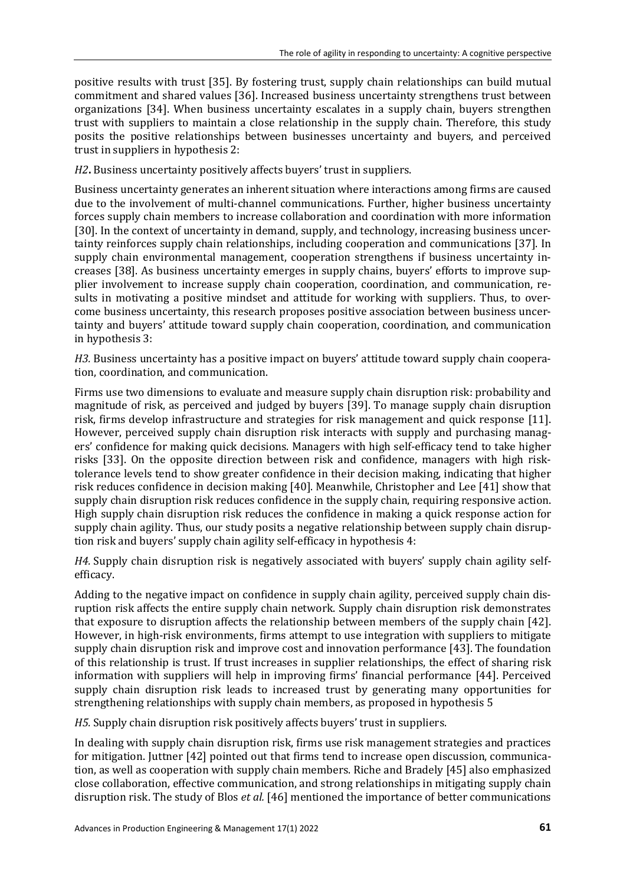positive results with trust [35]. By fostering trust, supply chain relationships can build mutual commitment and shared values [36]. Increased business uncertainty strengthens trust between organizations [34]. When business uncertainty escalates in a supply chain, buyers strengthen trust with suppliers to maintain a close relationship in the supply chain. Therefore, this study posits the positive relationships between businesses uncertainty and buyers, and perceived trust in suppliers in hypothesis 2:

*H2***.** Business uncertainty positively affects buyers' trust in suppliers.

Business uncertainty generates an inherent situation where interactions among firms are caused due to the involvement of multi-channel communications. Further, higher business uncertainty forces supply chain members to increase collaboration and coordination with more information [30]. In the context of uncertainty in demand, supply, and technology, increasing business uncertainty reinforces supply chain relationships, including cooperation and communications [37]. In supply chain environmental management, cooperation strengthens if business uncertainty increases [38]. As business uncertainty emerges in supply chains, buyers' efforts to improve supplier involvement to increase supply chain cooperation, coordination, and communication, results in motivating a positive mindset and attitude for working with suppliers. Thus, to overcome business uncertainty, this research proposes positive association between business uncertainty and buyers' attitude toward supply chain cooperation, coordination, and communication in hypothesis 3:

*H3.* Business uncertainty has a positive impact on buyers' attitude toward supply chain cooperation, coordination, and communication.

Firms use two dimensions to evaluate and measure supply chain disruption risk: probability and magnitude of risk, as perceived and judged by buyers [39]. To manage supply chain disruption risk, firms develop infrastructure and strategies for risk management and quick response [11]. However, perceived supply chain disruption risk interacts with supply and purchasing managers' confidence for making quick decisions. Managers with high self-efficacy tend to take higher risks [33]. On the opposite direction between risk and confidence, managers with high risktolerance levels tend to show greater confidence in their decision making, indicating that higher risk reduces confidence in decision making [40]. Meanwhile, Christopher and Lee [41] show that supply chain disruption risk reduces confidence in the supply chain, requiring responsive action. High supply chain disruption risk reduces the confidence in making a quick response action for supply chain agility. Thus, our study posits a negative relationship between supply chain disruption risk and buyers' supply chain agility self-efficacy in hypothesis 4:

*H4.* Supply chain disruption risk is negatively associated with buyers' supply chain agility selfefficacy.

Adding to the negative impact on confidence in supply chain agility, perceived supply chain disruption risk affects the entire supply chain network. Supply chain disruption risk demonstrates that exposure to disruption affects the relationship between members of the supply chain [42]. However, in high-risk environments, firms attempt to use integration with suppliers to mitigate supply chain disruption risk and improve cost and innovation performance [43]. The foundation of this relationship is trust. If trust increases in supplier relationships, the effect of sharing risk information with suppliers will help in improving firms' financial performance [44]. Perceived supply chain disruption risk leads to increased trust by generating many opportunities for strengthening relationships with supply chain members, as proposed in hypothesis 5

*H5.* Supply chain disruption risk positively affects buyers' trust in suppliers.

In dealing with supply chain disruption risk, firms use risk management strategies and practices for mitigation. Juttner [42] pointed out that firms tend to increase open discussion, communication, as well as cooperation with supply chain members. Riche and Bradely [45] also emphasized close collaboration, effective communication, and strong relationships in mitigating supply chain disruption risk. The study of Blos *et al.* [46] mentioned the importance of better communications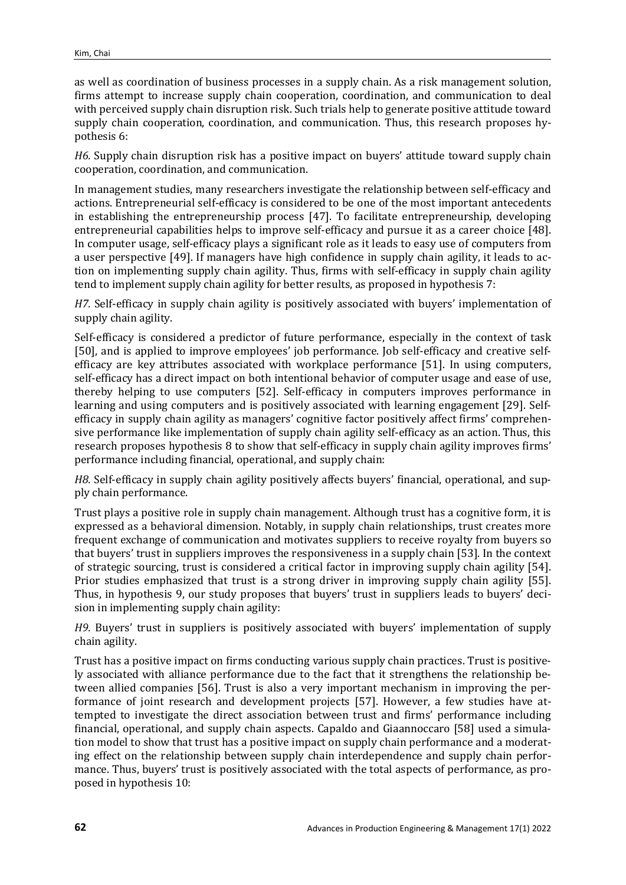as well as coordination of business processes in a supply chain. As a risk management solution, firms attempt to increase supply chain cooperation, coordination, and communication to deal with perceived supply chain disruption risk. Such trials help to generate positive attitude toward supply chain cooperation, coordination, and communication. Thus, this research proposes hypothesis 6:

*H6.* Supply chain disruption risk has a positive impact on buyers' attitude toward supply chain cooperation, coordination, and communication.

In management studies, many researchers investigate the relationship between self-efficacy and actions. Entrepreneurial self-efficacy is considered to be one of the most important antecedents in establishing the entrepreneurship process [47]. To facilitate entrepreneurship, developing entrepreneurial capabilities helps to improve self-efficacy and pursue it as a career choice [48]. In computer usage, self-efficacy plays a significant role as it leads to easy use of computers from a user perspective [49]. If managers have high confidence in supply chain agility, it leads to action on implementing supply chain agility. Thus, firms with self-efficacy in supply chain agility tend to implement supply chain agility for better results, as proposed in hypothesis 7:

*H7.* Self-efficacy in supply chain agility is positively associated with buyers' implementation of supply chain agility.

Self-efficacy is considered a predictor of future performance, especially in the context of task [50], and is applied to improve employees' job performance. Job self-efficacy and creative selfefficacy are key attributes associated with workplace performance [51]. In using computers, self-efficacy has a direct impact on both intentional behavior of computer usage and ease of use, thereby helping to use computers [52]. Self-efficacy in computers improves performance in learning and using computers and is positively associated with learning engagement [29]. Selfefficacy in supply chain agility as managers' cognitive factor positively affect firms' comprehensive performance like implementation of supply chain agility self-efficacy as an action. Thus, this research proposes hypothesis 8 to show that self-efficacy in supply chain agility improves firms' performance including financial, operational, and supply chain:

*H8.* Self-efficacy in supply chain agility positively affects buyers' financial, operational, and supply chain performance.

Trust plays a positive role in supply chain management. Although trust has a cognitive form, it is expressed as a behavioral dimension. Notably, in supply chain relationships, trust creates more frequent exchange of communication and motivates suppliers to receive royalty from buyers so that buyers' trust in suppliers improves the responsiveness in a supply chain [53]. In the context of strategic sourcing, trust is considered a critical factor in improving supply chain agility [54]. Prior studies emphasized that trust is a strong driver in improving supply chain agility [55]. Thus, in hypothesis 9, our study proposes that buyers' trust in suppliers leads to buyers' decision in implementing supply chain agility:

*H9.* Buyers' trust in suppliers is positively associated with buyers' implementation of supply chain agility.

Trust has a positive impact on firms conducting various supply chain practices. Trust is positively associated with alliance performance due to the fact that it strengthens the relationship between allied companies [56]. Trust is also a very important mechanism in improving the performance of joint research and development projects [57]. However, a few studies have attempted to investigate the direct association between trust and firms' performance including financial, operational, and supply chain aspects. Capaldo and Giaannoccaro [58] used a simulation model to show that trust has a positive impact on supply chain performance and a moderating effect on the relationship between supply chain interdependence and supply chain performance. Thus, buyers' trust is positively associated with the total aspects of performance, as proposed in hypothesis 10: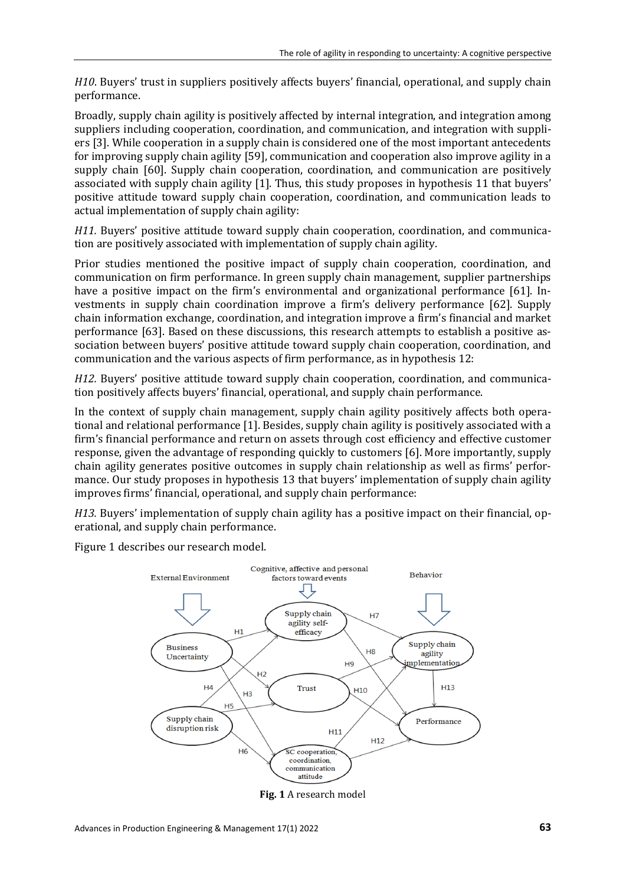*H10*. Buyers' trust in suppliers positively affects buyers' financial, operational, and supply chain performance.

Broadly, supply chain agility is positively affected by internal integration, and integration among suppliers including cooperation, coordination, and communication, and integration with suppliers [3]. While cooperation in a supply chain is considered one of the most important antecedents for improving supply chain agility [59], communication and cooperation also improve agility in a supply chain [60]. Supply chain cooperation, coordination, and communication are positively associated with supply chain agility [1]. Thus, this study proposes in hypothesis 11 that buyers' positive attitude toward supply chain cooperation, coordination, and communication leads to actual implementation of supply chain agility:

*H11.* Buyers' positive attitude toward supply chain cooperation, coordination, and communication are positively associated with implementation of supply chain agility.

Prior studies mentioned the positive impact of supply chain cooperation, coordination, and communication on firm performance. In green supply chain management, supplier partnerships have a positive impact on the firm's environmental and organizational performance [61]. Investments in supply chain coordination improve a firm's delivery performance [62]. Supply chain information exchange, coordination, and integration improve a firm's financial and market performance [63]. Based on these discussions, this research attempts to establish a positive association between buyers' positive attitude toward supply chain cooperation, coordination, and communication and the various aspects of firm performance, as in hypothesis 12:

*H12.* Buyers' positive attitude toward supply chain cooperation, coordination, and communication positively affects buyers' financial, operational, and supply chain performance.

In the context of supply chain management, supply chain agility positively affects both operational and relational performance [1]. Besides, supply chain agility is positively associated with a firm's financial performance and return on assets through cost efficiency and effective customer response, given the advantage of responding quickly to customers [6]. More importantly, supply chain agility generates positive outcomes in supply chain relationship as well as firms' performance. Our study proposes in hypothesis 13 that buyers' implementation of supply chain agility improves firms' financial, operational, and supply chain performance:

*H13.* Buyers' implementation of supply chain agility has a positive impact on their financial, operational, and supply chain performance.

Figure 1 describes our research model.



**Fig. 1** A research model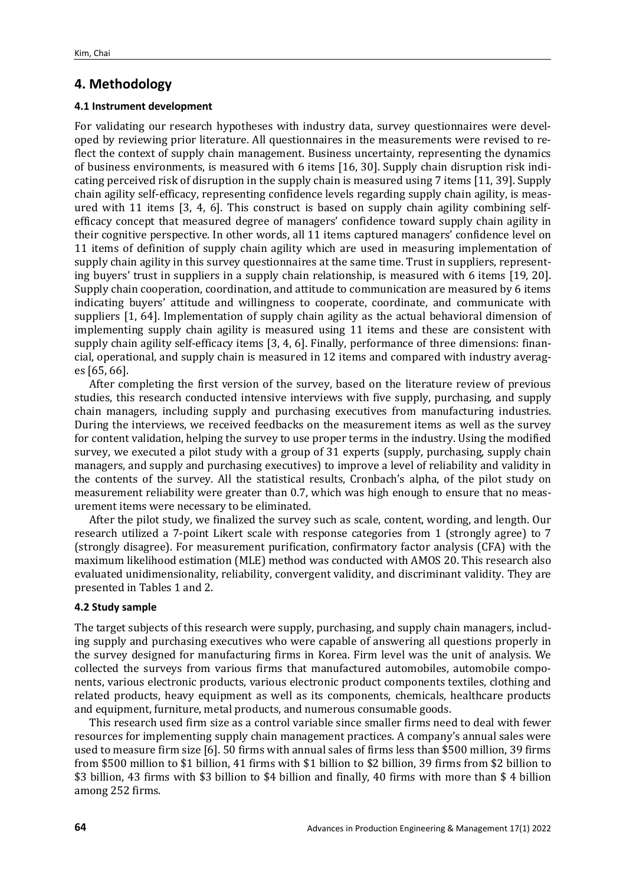# **4. Methodology**

#### **4.1 Instrument development**

For validating our research hypotheses with industry data, survey questionnaires were developed by reviewing prior literature. All questionnaires in the measurements were revised to reflect the context of supply chain management. Business uncertainty, representing the dynamics of business environments, is measured with 6 items [16, 30]. Supply chain disruption risk indicating perceived risk of disruption in the supply chain is measured using 7 items [11, 39]. Supply chain agility self-efficacy, representing confidence levels regarding supply chain agility, is measured with 11 items [3, 4, 6]. This construct is based on supply chain agility combining selfefficacy concept that measured degree of managers' confidence toward supply chain agility in their cognitive perspective. In other words, all 11 items captured managers' confidence level on 11 items of definition of supply chain agility which are used in measuring implementation of supply chain agility in this survey questionnaires at the same time. Trust in suppliers, representing buyers' trust in suppliers in a supply chain relationship, is measured with 6 items [19, 20]. Supply chain cooperation, coordination, and attitude to communication are measured by 6 items indicating buyers' attitude and willingness to cooperate, coordinate, and communicate with suppliers [1, 64]. Implementation of supply chain agility as the actual behavioral dimension of implementing supply chain agility is measured using 11 items and these are consistent with supply chain agility self-efficacy items [3, 4, 6]. Finally, performance of three dimensions: financial, operational, and supply chain is measured in 12 items and compared with industry averages [65, 66].

After completing the first version of the survey, based on the literature review of previous studies, this research conducted intensive interviews with five supply, purchasing, and supply chain managers, including supply and purchasing executives from manufacturing industries. During the interviews, we received feedbacks on the measurement items as well as the survey for content validation, helping the survey to use proper terms in the industry. Using the modified survey, we executed a pilot study with a group of 31 experts (supply, purchasing, supply chain managers, and supply and purchasing executives) to improve a level of reliability and validity in the contents of the survey. All the statistical results, Cronbach's alpha, of the pilot study on measurement reliability were greater than 0.7, which was high enough to ensure that no measurement items were necessary to be eliminated.

After the pilot study, we finalized the survey such as scale, content, wording, and length. Our research utilized a 7-point Likert scale with response categories from 1 (strongly agree) to 7 (strongly disagree). For measurement purification, confirmatory factor analysis (CFA) with the maximum likelihood estimation (MLE) method was conducted with AMOS 20. This research also evaluated unidimensionality, reliability, convergent validity, and discriminant validity. They are presented in Tables 1 and 2.

#### **4.2 Study sample**

The target subjects of this research were supply, purchasing, and supply chain managers, including supply and purchasing executives who were capable of answering all questions properly in the survey designed for manufacturing firms in Korea. Firm level was the unit of analysis. We collected the surveys from various firms that manufactured automobiles, automobile components, various electronic products, various electronic product components textiles, clothing and related products, heavy equipment as well as its components, chemicals, healthcare products and equipment, furniture, metal products, and numerous consumable goods.

This research used firm size as a control variable since smaller firms need to deal with fewer resources for implementing supply chain management practices. A company's annual sales were used to measure firm size [6]. 50 firms with annual sales of firms less than \$500 million, 39 firms from \$500 million to \$1 billion, 41 firms with \$1 billion to \$2 billion, 39 firms from \$2 billion to \$3 billion, 43 firms with \$3 billion to \$4 billion and finally, 40 firms with more than \$ 4 billion among 252 firms.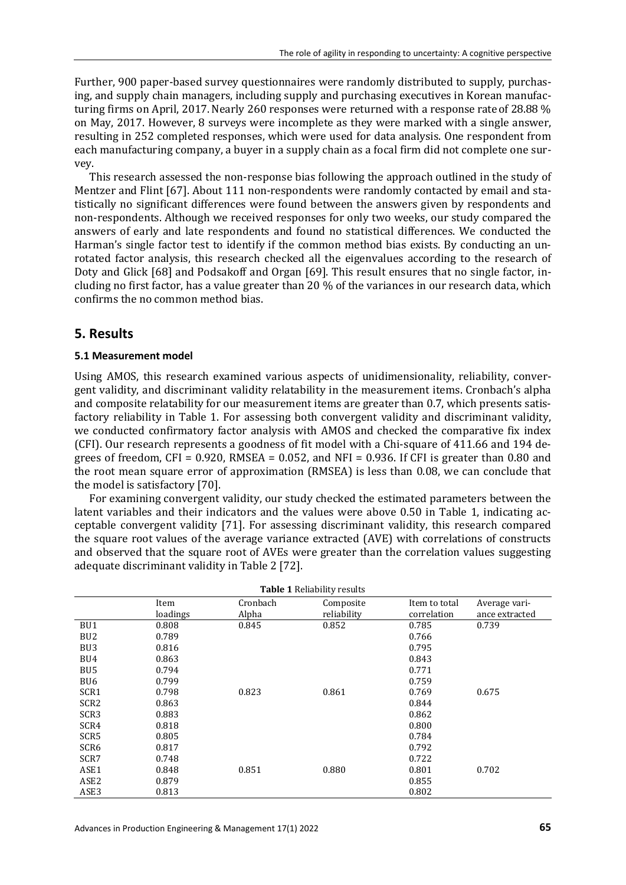Further, 900 paper-based survey questionnaires were randomly distributed to supply, purchasing, and supply chain managers, including supply and purchasing executives in Korean manufacturing firms on April, 2017. Nearly 260 responses were returned with a response rate of 28.88 % on May, 2017. However, 8 surveys were incomplete as they were marked with a single answer, resulting in 252 completed responses, which were used for data analysis. One respondent from each manufacturing company, a buyer in a supply chain as a focal firm did not complete one survey.

This research assessed the non-response bias following the approach outlined in the study of Mentzer and Flint [67]. About 111 non-respondents were randomly contacted by email and statistically no significant differences were found between the answers given by respondents and non-respondents. Although we received responses for only two weeks, our study compared the answers of early and late respondents and found no statistical differences. We conducted the Harman's single factor test to identify if the common method bias exists. By conducting an unrotated factor analysis, this research checked all the eigenvalues according to the research of Doty and Glick [68] and Podsakoff and Organ [69]. This result ensures that no single factor, including no first factor, has a value greater than 20 % of the variances in our research data, which confirms the no common method bias.

# **5. Results**

#### **5.1 Measurement model**

Using AMOS, this research examined various aspects of unidimensionality, reliability, convergent validity, and discriminant validity relatability in the measurement items. Cronbach's alpha and composite relatability for our measurement items are greater than 0.7, which presents satisfactory reliability in Table 1. For assessing both convergent validity and discriminant validity, we conducted confirmatory factor analysis with AMOS and checked the comparative fix index (CFI). Our research represents a goodness of fit model with a Chi-square of 411.66 and 194 degrees of freedom, CFI =  $0.920$ , RMSEA =  $0.052$ , and NFI =  $0.936$ . If CFI is greater than 0.80 and the root mean square error of approximation (RMSEA) is less than 0.08, we can conclude that the model is satisfactory [70].

For examining convergent validity, our study checked the estimated parameters between the latent variables and their indicators and the values were above 0.50 in Table 1, indicating acceptable convergent validity [71]. For assessing discriminant validity, this research compared the square root values of the average variance extracted (AVE) with correlations of constructs and observed that the square root of AVEs were greater than the correlation values suggesting adequate discriminant validity in Table 2 [72].

| <b>Table 1 Reliability results</b> |          |          |             |               |                |
|------------------------------------|----------|----------|-------------|---------------|----------------|
|                                    | Item     | Cronbach | Composite   | Item to total | Average vari-  |
|                                    | loadings | Alpha    | reliability | correlation   | ance extracted |
| BU1                                | 0.808    | 0.845    | 0.852       | 0.785         | 0.739          |
| BU <sub>2</sub>                    | 0.789    |          |             | 0.766         |                |
| BU <sub>3</sub>                    | 0.816    |          |             | 0.795         |                |
| BU4                                | 0.863    |          |             | 0.843         |                |
| BU <sub>5</sub>                    | 0.794    |          |             | 0.771         |                |
| BU <sub>6</sub>                    | 0.799    |          |             | 0.759         |                |
| SCR1                               | 0.798    | 0.823    | 0.861       | 0.769         | 0.675          |
| SCR <sub>2</sub>                   | 0.863    |          |             | 0.844         |                |
| SCR <sub>3</sub>                   | 0.883    |          |             | 0.862         |                |
| SCR4                               | 0.818    |          |             | 0.800         |                |
| SCR5                               | 0.805    |          |             | 0.784         |                |
| SCR6                               | 0.817    |          |             | 0.792         |                |
| SCR7                               | 0.748    |          |             | 0.722         |                |
| ASE1                               | 0.848    | 0.851    | 0.880       | 0.801         | 0.702          |
| ASE2                               | 0.879    |          |             | 0.855         |                |
| ASE3                               | 0.813    |          |             | 0.802         |                |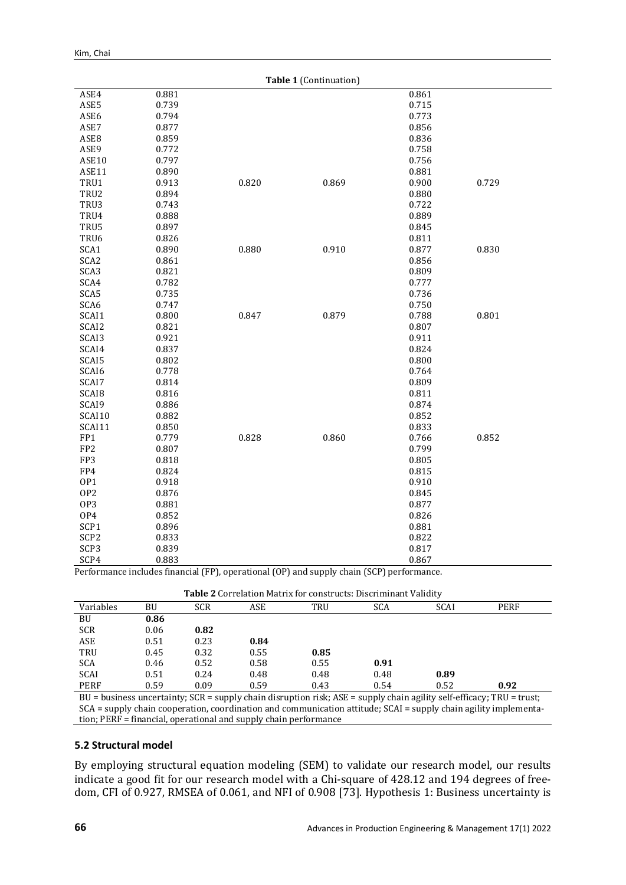| Table 1 (Continuation) |       |       |       |       |       |
|------------------------|-------|-------|-------|-------|-------|
| ASE4                   | 0.881 |       |       | 0.861 |       |
| ASE5                   | 0.739 |       |       | 0.715 |       |
| ASE6                   | 0.794 |       |       | 0.773 |       |
| ASE7                   | 0.877 |       |       | 0.856 |       |
| ASE8                   | 0.859 |       |       | 0.836 |       |
| ASE9                   | 0.772 |       |       | 0.758 |       |
| ASE10                  | 0.797 |       |       | 0.756 |       |
| ASE11                  | 0.890 |       |       | 0.881 |       |
| TRU1                   | 0.913 | 0.820 | 0.869 | 0.900 | 0.729 |
| TRU2                   | 0.894 |       |       | 0.880 |       |
| TRU3                   | 0.743 |       |       | 0.722 |       |
| TRU4                   | 0.888 |       |       | 0.889 |       |
| TRU5                   | 0.897 |       |       | 0.845 |       |
| TRU6                   | 0.826 |       |       | 0.811 |       |
| SCA1                   | 0.890 | 0.880 | 0.910 | 0.877 | 0.830 |
| SCA <sub>2</sub>       | 0.861 |       |       | 0.856 |       |
| SCA3                   | 0.821 |       |       | 0.809 |       |
| SCA4                   | 0.782 |       |       | 0.777 |       |
| SCA5                   | 0.735 |       |       | 0.736 |       |
| SCA6                   | 0.747 |       |       | 0.750 |       |
| SCAI1                  | 0.800 | 0.847 | 0.879 | 0.788 | 0.801 |
| SCAI2                  | 0.821 |       |       | 0.807 |       |
| SCAI3                  | 0.921 |       |       | 0.911 |       |
| SCAI4                  | 0.837 |       |       | 0.824 |       |
| SCAI5                  | 0.802 |       |       | 0.800 |       |
| SCAI6                  | 0.778 |       |       | 0.764 |       |
| SCAI7                  | 0.814 |       |       | 0.809 |       |
| SCAI <sub>8</sub>      | 0.816 |       |       | 0.811 |       |
| SCAI9                  | 0.886 |       |       | 0.874 |       |
| SCAI10                 | 0.882 |       |       | 0.852 |       |
| SCAI11                 | 0.850 |       |       | 0.833 |       |
| FP1                    | 0.779 | 0.828 | 0.860 | 0.766 | 0.852 |
| FP <sub>2</sub>        | 0.807 |       |       | 0.799 |       |
| FP3                    | 0.818 |       |       | 0.805 |       |
| FP4                    | 0.824 |       |       | 0.815 |       |
| OP1                    | 0.918 |       |       | 0.910 |       |
| OP <sub>2</sub>        | 0.876 |       |       | 0.845 |       |
| OP3                    | 0.881 |       |       | 0.877 |       |
| OP4                    | 0.852 |       |       | 0.826 |       |
| SCP1                   | 0.896 |       |       | 0.881 |       |
| SCP <sub>2</sub>       | 0.833 |       |       | 0.822 |       |
| SCP3                   | 0.839 |       |       | 0.817 |       |
| SCP4                   | 0.883 |       |       | 0.867 |       |

Performance includes financial (FP), operational (OP) and supply chain (SCP) performance.

| Table 2 Correlation Matrix for constructs: Discriminant Validity |  |
|------------------------------------------------------------------|--|
|------------------------------------------------------------------|--|

|                                                                                                                           |      |            |      | <b>TWOTO =</b> COTTURNOIT PROGRAM TOT CONSOL RUGS. DISCITIBILIZING TRINGER |            |                                                                                                                                                                                                                                                                                                                                                                                                                              |      |  |
|---------------------------------------------------------------------------------------------------------------------------|------|------------|------|----------------------------------------------------------------------------|------------|------------------------------------------------------------------------------------------------------------------------------------------------------------------------------------------------------------------------------------------------------------------------------------------------------------------------------------------------------------------------------------------------------------------------------|------|--|
| Variables                                                                                                                 | BU   | <b>SCR</b> | ASE  | TRU                                                                        | <b>SCA</b> | SCAI                                                                                                                                                                                                                                                                                                                                                                                                                         | PERF |  |
| BU                                                                                                                        | 0.86 |            |      |                                                                            |            |                                                                                                                                                                                                                                                                                                                                                                                                                              |      |  |
| <b>SCR</b>                                                                                                                | 0.06 | 0.82       |      |                                                                            |            |                                                                                                                                                                                                                                                                                                                                                                                                                              |      |  |
| ASE                                                                                                                       | 0.51 | 0.23       | 0.84 |                                                                            |            |                                                                                                                                                                                                                                                                                                                                                                                                                              |      |  |
| TRU                                                                                                                       | 0.45 | 0.32       | 0.55 | 0.85                                                                       |            |                                                                                                                                                                                                                                                                                                                                                                                                                              |      |  |
| <b>SCA</b>                                                                                                                | 0.46 | 0.52       | 0.58 | 0.55                                                                       | 0.91       |                                                                                                                                                                                                                                                                                                                                                                                                                              |      |  |
| <b>SCAI</b>                                                                                                               | 0.51 | 0.24       | 0.48 | 0.48                                                                       | 0.48       | 0.89                                                                                                                                                                                                                                                                                                                                                                                                                         |      |  |
| <b>PERF</b>                                                                                                               | 0.59 | 0.09       | 0.59 | 0.43                                                                       | 0.54       | 0.52                                                                                                                                                                                                                                                                                                                                                                                                                         | 0.92 |  |
| BU = business uncertainty; $SCR =$ supply chain disruption risk; $ASE =$ supply chain agility self-efficacy; TRU = trust; |      |            |      |                                                                            |            |                                                                                                                                                                                                                                                                                                                                                                                                                              |      |  |
| $\sim$ $\sim$ $\sim$                                                                                                      |      |            |      |                                                                            |            | $\mathbf{A} = \mathbf{A} + \mathbf{A} + \mathbf{A} + \mathbf{A} + \mathbf{A} + \mathbf{A} + \mathbf{A} + \mathbf{A} + \mathbf{A} + \mathbf{A} + \mathbf{A} + \mathbf{A} + \mathbf{A} + \mathbf{A} + \mathbf{A} + \mathbf{A} + \mathbf{A} + \mathbf{A} + \mathbf{A} + \mathbf{A} + \mathbf{A} + \mathbf{A} + \mathbf{A} + \mathbf{A} + \mathbf{A} + \mathbf{A} + \mathbf{A} + \mathbf{A} + \mathbf{A} + \mathbf{A} + \mathbf$ |      |  |

SCA = supply chain cooperation, coordination and communication attitude; SCAI = supply chain agility implementation; PERF = financial, operational and supply chain performance

### **5.2 Structural model**

By employing structural equation modeling (SEM) to validate our research model, our results indicate a good fit for our research model with a Chi-square of 428.12 and 194 degrees of freedom, CFI of 0.927, RMSEA of 0.061, and NFI of 0.908 [73]. Hypothesis 1: Business uncertainty is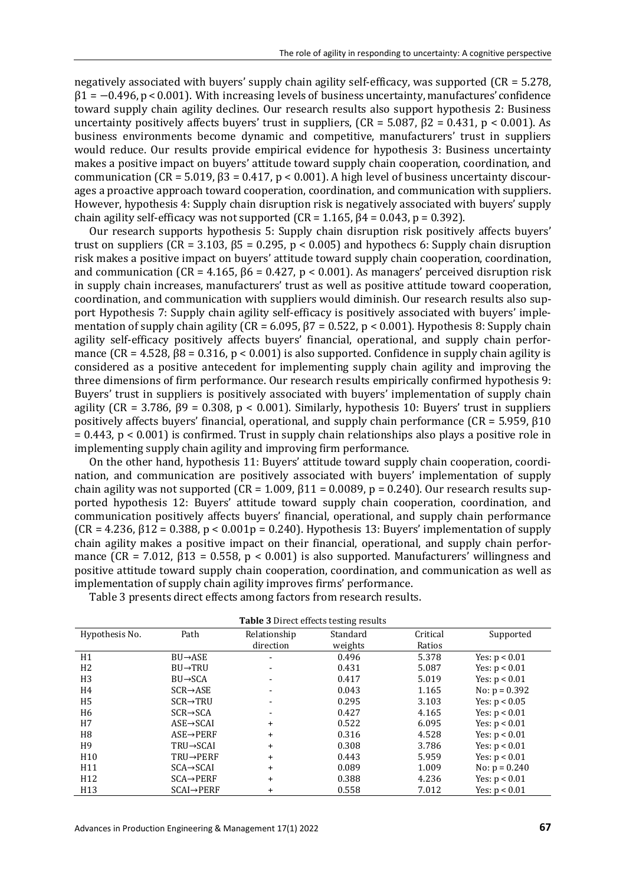negatively associated with buyers' supply chain agility self-efficacy, was supported (CR = 5.278,  $\beta$ 1 = −0.496, p < 0.001). With increasing levels of business uncertainty, manufactures' confidence toward supply chain agility declines. Our research results also support hypothesis 2: Business uncertainty positively affects buyers' trust in suppliers,  $(CR = 5.087, \beta^2 = 0.431, p < 0.001$ . As business environments become dynamic and competitive, manufacturers' trust in suppliers would reduce. Our results provide empirical evidence for hypothesis 3: Business uncertainty makes a positive impact on buyers' attitude toward supply chain cooperation, coordination, and communication (CR = 5.019, β3 = 0.417, p < 0.001). A high level of business uncertainty discourages a proactive approach toward cooperation, coordination, and communication with suppliers. However, hypothesis 4: Supply chain disruption risk is negatively associated with buyers' supply chain agility self-efficacy was not supported ( $CR = 1.165$ ,  $\beta$ 4 = 0.043, p = 0.392).

Our research supports hypothesis 5: Supply chain disruption risk positively affects buyers' trust on suppliers (CR = 3.103, β5 = 0.295, p < 0.005) and hypothecs 6: Supply chain disruption risk makes a positive impact on buyers' attitude toward supply chain cooperation, coordination, and communication ( $CR = 4.165$ ,  $\beta 6 = 0.427$ ,  $p < 0.001$ ). As managers' perceived disruption risk in supply chain increases, manufacturers' trust as well as positive attitude toward cooperation, coordination, and communication with suppliers would diminish. Our research results also support Hypothesis 7: Supply chain agility self-efficacy is positively associated with buyers' implementation of supply chain agility ( $CR = 6.095$ ,  $\beta$ 7 = 0.522, p < 0.001). Hypothesis 8: Supply chain agility self-efficacy positively affects buyers' financial, operational, and supply chain performance  $(CR = 4.528, \beta 8 = 0.316, p < 0.001$  is also supported. Confidence in supply chain agility is considered as a positive antecedent for implementing supply chain agility and improving the three dimensions of firm performance. Our research results empirically confirmed hypothesis 9: Buyers' trust in suppliers is positively associated with buyers' implementation of supply chain agility ( $CR = 3.786$ ,  $\beta$ 9 = 0.308, p < 0.001). Similarly, hypothesis 10: Buyers' trust in suppliers positively affects buyers' financial, operational, and supply chain performance (CR = 5.959, β10 = 0.443, p < 0.001) is confirmed. Trust in supply chain relationships also plays a positive role in implementing supply chain agility and improving firm performance.

On the other hand, hypothesis 11: Buyers' attitude toward supply chain cooperation, coordination, and communication are positively associated with buyers' implementation of supply chain agility was not supported ( $CR = 1.009$ ,  $\beta$ 11 = 0.0089, p = 0.240). Our research results supported hypothesis 12: Buyers' attitude toward supply chain cooperation, coordination, and communication positively affects buyers' financial, operational, and supply chain performance ( $CR = 4.236$ ,  $\beta$ 12 = 0.388, p < 0.001p = 0.240). Hypothesis 13: Buyers' implementation of supply chain agility makes a positive impact on their financial, operational, and supply chain performance (CR = 7.012,  $\beta$ 13 = 0.558, p < 0.001) is also supported. Manufacturers' willingness and positive attitude toward supply chain cooperation, coordination, and communication as well as implementation of supply chain agility improves firms' performance.

| <b>Table 3</b> Direct effects testing results |                         |              |          |          |                 |
|-----------------------------------------------|-------------------------|--------------|----------|----------|-----------------|
| Hypothesis No.                                | Path                    | Relationship | Standard | Critical | Supported       |
|                                               |                         | direction    | weights  | Ratios   |                 |
| H1                                            | $BU \rightarrow ASE$    |              | 0.496    | 5.378    | Yes: $p < 0.01$ |
| H <sub>2</sub>                                | $BU \rightarrow TRU$    |              | 0.431    | 5.087    | Yes: $p < 0.01$ |
| H <sub>3</sub>                                | $BU \rightarrow SCA$    |              | 0.417    | 5.019    | Yes: $p < 0.01$ |
| H4                                            | $SCR \rightarrow ASE$   |              | 0.043    | 1.165    | No: $p = 0.392$ |
| H <sub>5</sub>                                | $SCR \rightarrow TRU$   |              | 0.295    | 3.103    | Yes: $p < 0.05$ |
| H6                                            | $SCR \rightarrow SCA$   |              | 0.427    | 4.165    | Yes: $p < 0.01$ |
| H7                                            | $ASE \rightarrow SCAI$  | $\ddot{}$    | 0.522    | 6.095    | Yes: $p < 0.01$ |
| H8                                            | $ASE \rightarrow PERF$  | $+$          | 0.316    | 4.528    | Yes: $p < 0.01$ |
| H9                                            | $TRU \rightarrow SCAI$  | $\ddot{}$    | 0.308    | 3.786    | Yes: $p < 0.01$ |
| H <sub>10</sub>                               | TRU→PERF                | $+$          | 0.443    | 5.959    | Yes: $p < 0.01$ |
| H11                                           | $SCA \rightarrow SCAI$  | $+$          | 0.089    | 1.009    | No: $p = 0.240$ |
| H <sub>12</sub>                               | $SCA \rightarrow PERF$  | $\ddot{}$    | 0.388    | 4.236    | Yes: $p < 0.01$ |
| H <sub>13</sub>                               | $SCAI \rightarrow PERF$ | +            | 0.558    | 7.012    | Yes: $p < 0.01$ |

Table 3 presents direct effects among factors from research results.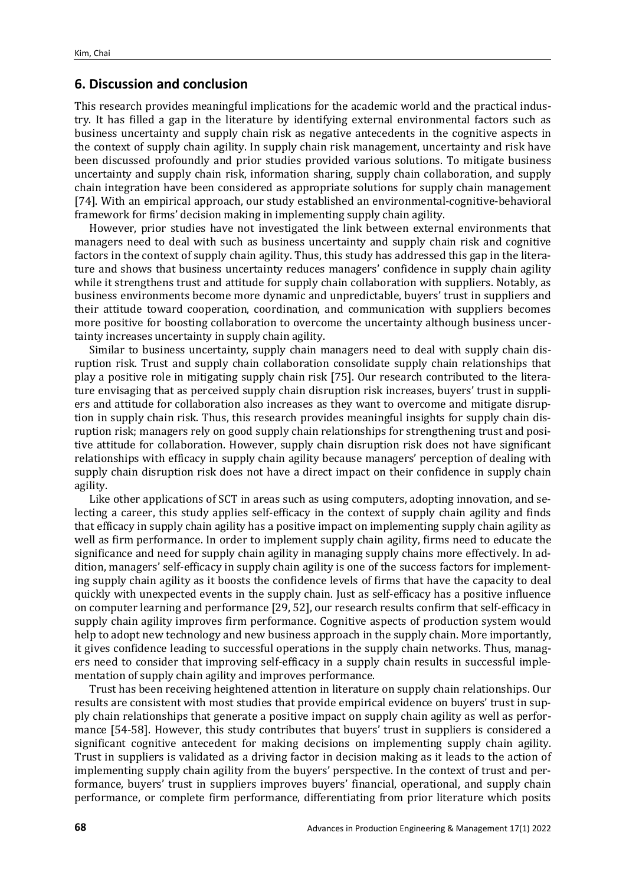# **6. Discussion and conclusion**

This research provides meaningful implications for the academic world and the practical industry. It has filled a gap in the literature by identifying external environmental factors such as business uncertainty and supply chain risk as negative antecedents in the cognitive aspects in the context of supply chain agility. In supply chain risk management, uncertainty and risk have been discussed profoundly and prior studies provided various solutions. To mitigate business uncertainty and supply chain risk, information sharing, supply chain collaboration, and supply chain integration have been considered as appropriate solutions for supply chain management [74]. With an empirical approach, our study established an environmental-cognitive-behavioral framework for firms' decision making in implementing supply chain agility.

However, prior studies have not investigated the link between external environments that managers need to deal with such as business uncertainty and supply chain risk and cognitive factors in the context of supply chain agility. Thus, this study has addressed this gap in the literature and shows that business uncertainty reduces managers' confidence in supply chain agility while it strengthens trust and attitude for supply chain collaboration with suppliers. Notably, as business environments become more dynamic and unpredictable, buyers' trust in suppliers and their attitude toward cooperation, coordination, and communication with suppliers becomes more positive for boosting collaboration to overcome the uncertainty although business uncertainty increases uncertainty in supply chain agility.

Similar to business uncertainty, supply chain managers need to deal with supply chain disruption risk. Trust and supply chain collaboration consolidate supply chain relationships that play a positive role in mitigating supply chain risk [75]. Our research contributed to the literature envisaging that as perceived supply chain disruption risk increases, buyers' trust in suppliers and attitude for collaboration also increases as they want to overcome and mitigate disruption in supply chain risk. Thus, this research provides meaningful insights for supply chain disruption risk; managers rely on good supply chain relationships for strengthening trust and positive attitude for collaboration. However, supply chain disruption risk does not have significant relationships with efficacy in supply chain agility because managers' perception of dealing with supply chain disruption risk does not have a direct impact on their confidence in supply chain agility.

Like other applications of SCT in areas such as using computers, adopting innovation, and selecting a career, this study applies self-efficacy in the context of supply chain agility and finds that efficacy in supply chain agility has a positive impact on implementing supply chain agility as well as firm performance. In order to implement supply chain agility, firms need to educate the significance and need for supply chain agility in managing supply chains more effectively. In addition, managers' self-efficacy in supply chain agility is one of the success factors for implementing supply chain agility as it boosts the confidence levels of firms that have the capacity to deal quickly with unexpected events in the supply chain. Just as self-efficacy has a positive influence on computer learning and performance [29, 52], our research results confirm that self-efficacy in supply chain agility improves firm performance. Cognitive aspects of production system would help to adopt new technology and new business approach in the supply chain. More importantly, it gives confidence leading to successful operations in the supply chain networks. Thus, managers need to consider that improving self-efficacy in a supply chain results in successful implementation of supply chain agility and improves performance.

Trust has been receiving heightened attention in literature on supply chain relationships. Our results are consistent with most studies that provide empirical evidence on buyers' trust in supply chain relationships that generate a positive impact on supply chain agility as well as performance [54-58]. However, this study contributes that buyers' trust in suppliers is considered a significant cognitive antecedent for making decisions on implementing supply chain agility. Trust in suppliers is validated as a driving factor in decision making as it leads to the action of implementing supply chain agility from the buyers' perspective. In the context of trust and performance, buyers' trust in suppliers improves buyers' financial, operational, and supply chain performance, or complete firm performance, differentiating from prior literature which posits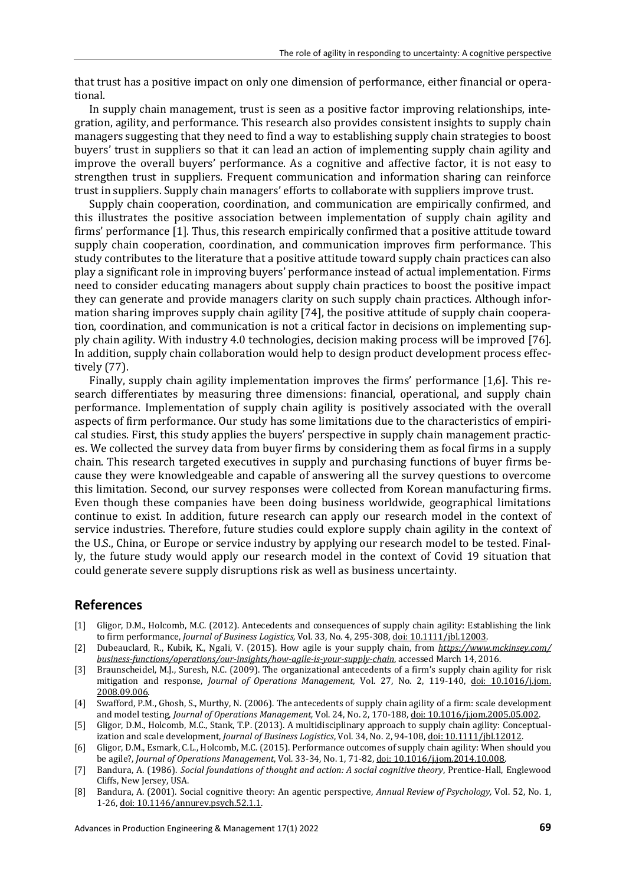that trust has a positive impact on only one dimension of performance, either financial or operational.

In supply chain management, trust is seen as a positive factor improving relationships, integration, agility, and performance. This research also provides consistent insights to supply chain managers suggesting that they need to find a way to establishing supply chain strategies to boost buyers' trust in suppliers so that it can lead an action of implementing supply chain agility and improve the overall buyers' performance. As a cognitive and affective factor, it is not easy to strengthen trust in suppliers. Frequent communication and information sharing can reinforce trust in suppliers. Supply chain managers' efforts to collaborate with suppliers improve trust.

Supply chain cooperation, coordination, and communication are empirically confirmed, and this illustrates the positive association between implementation of supply chain agility and firms' performance [1]. Thus, this research empirically confirmed that a positive attitude toward supply chain cooperation, coordination, and communication improves firm performance. This study contributes to the literature that a positive attitude toward supply chain practices can also play a significant role in improving buyers' performance instead of actual implementation. Firms need to consider educating managers about supply chain practices to boost the positive impact they can generate and provide managers clarity on such supply chain practices. Although information sharing improves supply chain agility [74], the positive attitude of supply chain cooperation, coordination, and communication is not a critical factor in decisions on implementing supply chain agility. With industry 4.0 technologies, decision making process will be improved [76]. In addition, supply chain collaboration would help to design product development process effectively (77).

Finally, supply chain agility implementation improves the firms' performance [1,6]. This research differentiates by measuring three dimensions: financial, operational, and supply chain performance. Implementation of supply chain agility is positively associated with the overall aspects of firm performance. Our study has some limitations due to the characteristics of empirical studies. First, this study applies the buyers' perspective in supply chain management practices. We collected the survey data from buyer firms by considering them as focal firms in a supply chain. This research targeted executives in supply and purchasing functions of buyer firms because they were knowledgeable and capable of answering all the survey questions to overcome this limitation. Second, our survey responses were collected from Korean manufacturing firms. Even though these companies have been doing business worldwide, geographical limitations continue to exist. In addition, future research can apply our research model in the context of service industries. Therefore, future studies could explore supply chain agility in the context of the U.S., China, or Europe or service industry by applying our research model to be tested. Finally, the future study would apply our research model in the context of Covid 19 situation that could generate severe supply disruptions risk as well as business uncertainty.

# **References**

- [1] Gligor, D.M., Holcomb, M.C. (2012). Antecedents and consequences of supply chain agility: Establishing the link to firm performance, *Journal of Business Logistics,* Vol. 33, No. 4, 295-308[, doi: 10.1111/jbl.12003.](https://doi.org/10.1111/jbl.12003)
- [2] Dubeauclard, R., Kubik, K., Ngali, V. (2015). How agile is your supply chain, from *[https://www.mckinsey.com/](https://www.mckinsey.com/%20business-functions/operations/our-insights/how-agile-is-your-supply-chain)  [business-functions/operations/our-insights/how-agile-is-your-supply-chain](https://www.mckinsey.com/%20business-functions/operations/our-insights/how-agile-is-your-supply-chain)*, accessed March 14, 2016.
- [3] Braunscheidel, M.J., Suresh, N.C. (2009). The organizational antecedents of a firm's supply chain agility for risk mitigation and response, *Journal of Operations Management,* Vol. 27, No. 2, 119-140, [doi: 10.1016/j.jom.](https://doi.org/10.1016/j.jom.2008.09.006) [2008.09.006.](https://doi.org/10.1016/j.jom.2008.09.006)
- [4] Swafford, P.M., Ghosh, S., Murthy, N. (2006). The antecedents of supply chain agility of a firm: scale development and model testing, *Journal of Operations Management,* Vol. 24, No. 2, 170-188[, doi: 10.1016/j.jom.2005.05.002.](https://doi.org/10.1016/j.jom.2005.05.002)
- [5] Gligor, D.M., Holcomb, M.C., Stank, T.P. (2013). A multidisciplinary approach to supply chain agility: Conceptualization and scale development, *Journal of Business Logistics*, Vol. 34, No. 2, 94-108[, doi: 10.1111/jbl.12012.](https://doi.org/10.1111/jbl.12012)
- [6] Gligor, D.M., Esmark, C.L., Holcomb, M.C. (2015). Performance outcomes of supply chain agility: When should you be agile?, *Journal of Operations Management*, Vol. 33-34, No. 1, 71-82[, doi: 10.1016/j.jom.2014.10.008.](https://doi.org/10.1016/j.jom.2014.10.008)
- [7] Bandura, A. (1986). *Social foundations of thought and action: A social cognitive theory*, Prentice-Hall, Englewood Cliffs, New Jersey, USA.
- [8] Bandura, A. (2001). Social cognitive theory: An agentic perspective, *Annual Review of Psychology,* Vol. 52, No. 1, 1-26, [doi: 10.1146/annurev.psych.52.1.1.](https://doi.org/10.1146/annurev.psych.52.1.1)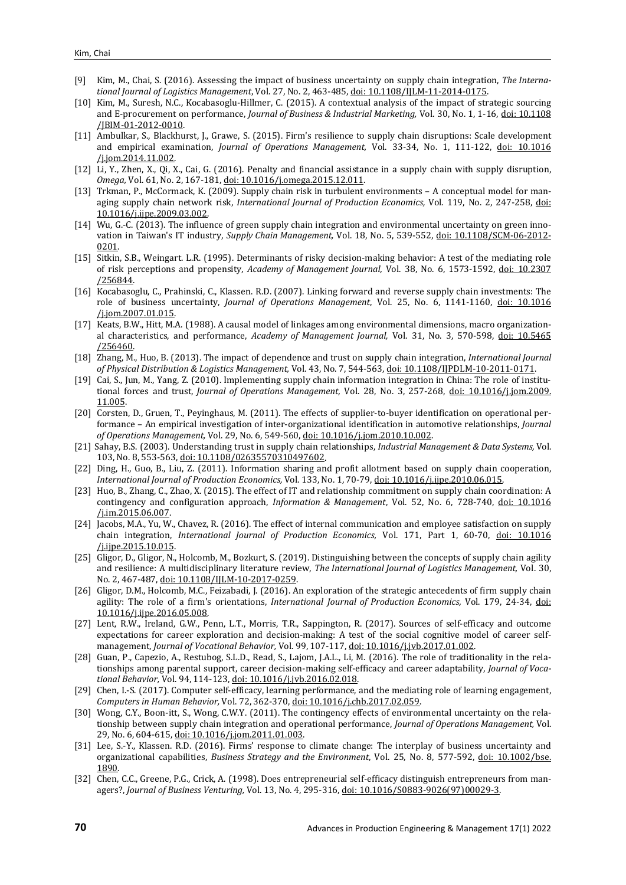- [9] Kim, M., Chai, S. (2016). Assessing the impact of business uncertainty on supply chain integration, *The International Journal of Logistics Management*, Vol. 27, No. 2, 463-485[, doi: 10.1108/IJLM-11-2014-0175.](https://doi.org/10.1108/IJLM-11-2014-0175)
- [10] Kim, M., Suresh, N.C., Kocabasoglu-Hillmer, C. (2015). A contextual analysis of the impact of strategic sourcing and E-procurement on performance, *Journal of Business & Industrial Marketing,* Vol. 30, No. 1, 1-16[, doi: 10.1108](https://doi.org/10.1108/JBIM-01-2012-0010) [/JBIM-01-2012-0010.](https://doi.org/10.1108/JBIM-01-2012-0010)
- [11] Ambulkar, S., Blackhurst, J., Grawe, S. (2015). Firm's resilience to supply chain disruptions: Scale development and empirical examination, *Journal of Operations Management,* Vol. 33-34, No. 1, 111-122, [doi: 10.1016](https://doi.org/10.1016/j.jom.2014.11.002) [/j.jom.2014.11.002.](https://doi.org/10.1016/j.jom.2014.11.002)
- [12] Li, Y., Zhen, X., Qi, X., Cai, G. (2016). Penalty and financial assistance in a supply chain with supply disruption, *Omega,* Vol. 61, No. 2, 167-181[, doi: 10.1016/j.omega.2015.12.011.](https://doi.org/10.1016/j.omega.2015.12.011)
- [13] Trkman, P., McCormack, K. (2009). Supply chain risk in turbulent environments A conceptual model for managing supply chain network risk, *International Journal of Production Economics,* Vol. 119, No. 2, 247-258, [doi:](https://doi.org/10.1016/j.ijpe.2009.03.002)  [10.1016/j.ijpe.2009.03.002.](https://doi.org/10.1016/j.ijpe.2009.03.002)
- [14] Wu, G.-C. (2013). The influence of green supply chain integration and environmental uncertainty on green innovation in Taiwan's IT industry, *Supply Chain Management,* Vol. 18, No. 5, 539-552, [doi: 10.1108/SCM-06-2012-](https://doi.org/10.1108/SCM-06-2012-0201) [0201.](https://doi.org/10.1108/SCM-06-2012-0201)
- [15] Sitkin, S.B., Weingart. L.R. (1995). Determinants of risky decision-making behavior: A test of the mediating role of risk perceptions and propensity, *Academy of Management Journal,* Vol. 38, No. 6, 1573-1592, [doi: 10.2307](https://doi.org/10.5465/256844) [/256844.](https://doi.org/10.5465/256844)
- [16] Kocabasoglu, C., Prahinski, C., Klassen. R.D. (2007). Linking forward and reverse supply chain investments: The role of business uncertainty, *Journal of Operations Management*, Vol. 25, No. 6, 1141-1160, [doi: 10.1016](https://doi.org/10.1016/j.jom.2007.01.015) [/j.jom.2007.01.015.](https://doi.org/10.1016/j.jom.2007.01.015)
- [17] Keats, B.W., Hitt, M.A. (1988). A causal model of linkages among environmental dimensions, macro organizational characteristics, and performance, *Academy of Management Journal,* Vol. 31, No. 3, 570-598, [doi: 10.5465](https://doi.org/10.5465/256460) [/256460.](https://doi.org/10.5465/256460)
- [18] Zhang, M., Huo, B. (2013). The impact of dependence and trust on supply chain integration, *International Journal of Physical Distribution & Logistics Management,* Vol. 43, No. 7, 544-563[, doi: 10.1108/IJPDLM-10-2011-0171.](https://doi.org/10.1108/IJPDLM-10-2011-0171)
- [19] Cai, S., Jun, M., Yang, Z. (2010). Implementing supply chain information integration in China: The role of institutional forces and trust, *Journal of Operations Management,* Vol. 28, No. 3, 257-268, [doi: 10.1016/j.jom.2009.](https://doi.org/10.1016/j.jom.2009.11.005) [11.005.](https://doi.org/10.1016/j.jom.2009.11.005)
- [20] Corsten, D., Gruen, T., Peyinghaus, M. (2011). The effects of supplier-to-buyer identification on operational performance – An empirical investigation of inter-organizational identification in automotive relationships, *Journal of Operations Management,* Vol. 29, No. 6, 549-560[, doi: 10.1016/j.jom.2010.10.002.](https://doi.org/10.1016/j.jom.2010.10.002)
- [21] Sahay, B.S. (2003). Understanding trust in supply chain relationships, *Industrial Management & Data Systems,* Vol. 103, No. 8, 553-563, [doi: 10.1108/02635570310497602.](https://doi.org/10.1108/02635570310497602)
- [22] Ding, H., Guo, B., Liu, Z. (2011). Information sharing and profit allotment based on supply chain cooperation, *International Journal of Production Economics,* Vol. 133, No. 1, 70-79[, doi: 10.1016/j.ijpe.2010.06.015.](https://doi.org/10.1016/j.ijpe.2010.06.015)
- [23] Huo, B., Zhang, C., Zhao, X. (2015). The effect of IT and relationship commitment on supply chain coordination: A contingency and configuration approach, *Information & Management*, Vol. 52, No. 6, 728-740, [doi: 10.1016](https://doi.org/10.1016/j.im.2015.06.007) [/j.im.2015.06.007.](https://doi.org/10.1016/j.im.2015.06.007)
- [24] Jacobs, M.A., Yu, W., Chavez, R. (2016). The effect of internal communication and employee satisfaction on supply chain integration, *International Journal of Production Economics,* Vol. 171, Part 1, 60-70, [doi: 10.1016](https://doi.org/10.1016/j.ijpe.2015.10.015) [/j.ijpe.2015.10.015.](https://doi.org/10.1016/j.ijpe.2015.10.015)
- [25] Gligor, D., Gligor, N., Holcomb, M., Bozkurt, S. (2019). Distinguishing between the concepts of supply chain agility and resilience: A multidisciplinary literature review, *The International Journal of Logistics Management,* Vol. 30, No. 2, 467-487[, doi: 10.1108/IJLM-10-2017-0259.](https://doi.org/10.1108/IJLM-10-2017-0259)
- [26] Gligor, D.M., Holcomb, M.C., Feizabadi, J. (2016). An exploration of the strategic antecedents of firm supply chain agility: The role of a firm's orientations, *International Journal of Production Economics,* Vol. 179, 24-34, [doi:](https://doi.org/10.1016/j.ijpe.2016.05.008)  [10.1016/j.ijpe.2016.05.008.](https://doi.org/10.1016/j.ijpe.2016.05.008)
- [27] Lent, R.W., Ireland, G.W., Penn, L.T., Morris, T.R., Sappington, R. (2017). Sources of self-efficacy and outcome expectations for career exploration and decision-making: A test of the social cognitive model of career selfmanagement, *Journal of Vocational Behavior,* Vol. 99, 107-117[, doi: 10.1016/j.jvb.2017.01.002.](https://doi.org/10.1016/j.jvb.2017.01.002)
- [28] Guan, P., Capezio, A., Restubog, S.L.D., Read, S., Lajom, J.A.L., Li, M. (2016). The role of traditionality in the relationships among parental support, career decision-making self-efficacy and career adaptability, *Journal of Vocational Behavior,* Vol. 94, 114-123[, doi: 10.1016/j.jvb.2016.02.018.](https://doi.org/10.1016/j.jvb.2016.02.018)
- [29] Chen, I.-S. (2017). Computer self-efficacy, learning performance, and the mediating role of learning engagement, *Computers in Human Behavior,* Vol. 72, 362-370[, doi: 10.1016/j.chb.2017.02.059.](https://doi.org/10.1016/j.chb.2017.02.059)
- [30] Wong, C.Y., Boon-itt, S., Wong, C.W.Y. (2011). The contingency effects of environmental uncertainty on the relationship between supply chain integration and operational performance, *Journal of Operations Management,* Vol. 29, No. 6, 604-615[, doi: 10.1016/j.jom.2011.01.003.](https://doi.org/10.1016/j.jom.2011.01.003)
- [31] Lee, S.-Y., Klassen. R.D. (2016). Firms' response to climate change: The interplay of business uncertainty and organizational capabilities, *Business Strategy and the Environment*, Vol. 25, No. 8, 577-592, [doi: 10.1002/bse.](https://doi.org/10.1002/bse.1890) [1890.](https://doi.org/10.1002/bse.1890)
- [32] Chen, C.C., Greene, P.G., Crick, A. (1998). Does entrepreneurial self-efficacy distinguish entrepreneurs from managers?, *Journal of Business Venturing,* Vol. 13, No. 4, 295-316[, doi: 10.1016/S0883-9026\(97\)00029-3.](https://doi.org/10.1016/S0883-9026(97)00029-3)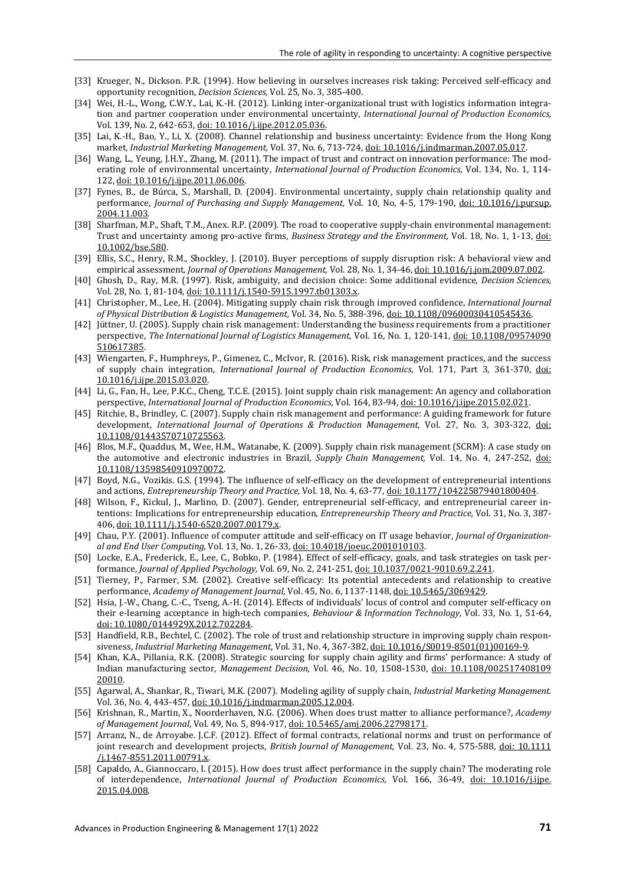- [33] Krueger, N., Dickson. P.R. (1994). How believing in ourselves increases risk taking: Perceived self-efficacy and opportunity recognition, *Decision Sciences,* Vol. 25, No. 3, 385-400.
- [34] Wei, H.-L., Wong, C.W.Y., Lai, K.-H. (2012). Linking inter-organizational trust with logistics information integration and partner cooperation under environmental uncertainty, *International Journal of Production Economics,* Vol. 139, No. 2, 642-653[, doi: 10.1016/j.ijpe.2012.05.036.](https://doi.org/10.1016/j.ijpe.2012.05.036)
- [35] Lai, K.-H., Bao, Y., Li, X. (2008). Channel relationship and business uncertainty: Evidence from the Hong Kong market, *Industrial Marketing Management,* Vol. 37, No. 6, 713-724[, doi: 10.1016/j.indmarman.2007.05.017.](https://doi.org/10.1016/j.indmarman.2007.05.017)
- [36] Wang, L., Yeung, J.H.Y., Zhang, M. (2011). The impact of trust and contract on innovation performance: The moderating role of environmental uncertainty, *International Journal of Production Economics*, Vol. 134, No. 1, 114- 122[, doi: 10.1016/j.ijpe.2011.06.006.](https://doi.org/10.1016/j.ijpe.2011.06.006)
- [37] Fynes, B., de Búrca, S., Marshall, D. (2004). Environmental uncertainty, supply chain relationship quality and performance, *Journal of Purchasing and Supply Management,* Vol. 10, No, 4-5, 179-190, [doi: 10.1016/j.pursup.](https://doi.org/10.1016/j.pursup.2004.11.003) [2004.11.003.](https://doi.org/10.1016/j.pursup.2004.11.003)
- [38] Sharfman, M.P., Shaft, T.M., Anex. R.P. (2009). The road to cooperative supply-chain environmental management: Trust and uncertainty among pro-active firms, *Business Strategy and the Environment,* Vol. 18, No. 1, 1-13, [doi:](https://doi.org/10.1002/bse.580)  [10.1002/bse.580.](https://doi.org/10.1002/bse.580)
- [39] Ellis, S.C., Henry, R.M., Shockley, J. (2010). Buyer perceptions of supply disruption risk: A behavioral view and empirical assessment*, Journal of Operations Management,* Vol. 28, No. 1, 34-46[, doi: 10.1016/j.jom.2009.07.002.](https://doi.org/10.1016/j.jom.2009.07.002)
- [40] Ghosh, D., Ray, M.R. (1997). Risk, ambiguity, and decision choice: Some additional evidence, *Decision Sciences,* Vol. 28, No. 1, 81-104[, doi: 10.1111/j.1540-5915.1997.tb01303.x.](https://doi.org/10.1111/j.1540-5915.1997.tb01303.x)
- [41] Christopher, M., Lee, H. (2004). Mitigating supply chain risk through improved confidence, *International Journal of Physical Distribution & Logistics Management,* Vol. 34, No. 5, 388-396[, doi: 10.1108/09600030410545436.](https://doi.org/10.1108/09600030410545436)
- [42] Jüttner, U. (2005). Supply chain risk management: Understanding the business requirements from a practitioner perspective, *The International Journal of Logistics Management*, Vol. 16, No. 1, 120-141, [doi: 10.1108/09574090](https://doi.org/10.1108/09574090510617385) [510617385.](https://doi.org/10.1108/09574090510617385)
- [43] Wiengarten, F., Humphreys, P., Gimenez, C., McIvor, R. (2016). Risk, risk management practices, and the success of supply chain integration, *International Journal of Production Economics,* Vol. 171, Part 3, 361-370, [doi:](https://doi.org/10.1016/j.ijpe.2015.03.020)  [10.1016/j.ijpe.2015.03.020.](https://doi.org/10.1016/j.ijpe.2015.03.020)
- [44] Li, G., Fan, H., Lee, P.K.C., Cheng, T.C.E. (2015). Joint supply chain risk management: An agency and collaboration perspective, *International Journal of Production Economics,* Vol. 164, 83-94[, doi: 10.1016/j.ijpe.2015.02.021.](https://doi.org/10.1016/j.ijpe.2015.02.021)
- [45] Ritchie, B., Brindley, C. (2007). Supply chain risk management and performance: A guiding framework for future development, *International Journal of Operations & Production Management,* Vol. 27, No. 3, 303-322, [doi:](https://doi.org/10.1108/01443570710725563)  [10.1108/01443570710725563.](https://doi.org/10.1108/01443570710725563)
- [46] Blos, M.F., Quaddus, M., Wee, H.M., Watanabe, K. (2009). Supply chain risk management (SCRM): A case study on the automotive and electronic industries in Brazil, *Supply Chain Management,* Vol. 14, No. 4, 247-252, [doi:](https://doi.org/10.1108/13598540910970072)  [10.1108/13598540910970072.](https://doi.org/10.1108/13598540910970072)
- [47] Boyd, N.G., Vozikis. G.S. (1994). The influence of self-efficacy on the development of entrepreneurial intentions and actions, *Entrepreneurship Theory and Practice,* Vol. 18, No. 4, 63-77[, doi: 10.1177/104225879401800404.](https://doi.org/10.1177/104225879401800404)
- [48] Wilson, F., Kickul, J., Marlino, D. (2007). Gender, entrepreneurial self-efficacy, and entrepreneurial career intentions: Implications for entrepreneurship education, *Entrepreneurship Theory and Practice,* Vol. 31, No. 3, 387- 406[, doi: 10.1111/j.1540-6520.2007.00179.x.](https://doi.org/10.1111/j.1540-6520.2007.00179.x)
- [49] Chau, P.Y. (2001). Influence of computer attitude and self-efficacy on IT usage behavior, *Journal of Organizational and End User Computing,* Vol. 13, No. 1, 26-33[, doi: 10.4018/joeuc.2001010103.](https://doi.org/10.4018/joeuc.2001010103)
- [50] Locke, E.A., Frederick, E., Lee, C., Bobko, P. (1984). Effect of self-efficacy, goals, and task strategies on task performance, *Journal of Applied Psychology,* Vol. 69, No. 2, 241-251[, doi: 10.1037/0021-9010.69.2.241.](https://doi.org/10.1037/0021-9010.69.2.241)
- [51] Tierney, P., Farmer, S.M. (2002). Creative self-efficacy: Its potential antecedents and relationship to creative performance, *Academy of Management Journal,* Vol. 45, No. 6, 1137-1148[, doi: 10.5465/3069429.](https://doi.org/10.5465/3069429)
- [52] Hsia, J.-W., Chang, C.-C., Tseng, A.-H. (2014). Effects of individuals' locus of control and computer self-efficacy on their e-learning acceptance in high-tech companies, *Behaviour & Information Technology,* Vol. 33, No. 1, 51-64, [doi: 10.1080/0144929X.2012.702284.](https://doi.org/10.1080/0144929X.2012.702284)
- [53] Handfield, R.B., Bechtel, C. (2002). The role of trust and relationship structure in improving supply chain responsiveness, *Industrial Marketing Management*, Vol. 31, No. 4, 367-382, [doi: 10.1016/S0019-8501\(01\)00169-9.](https://doi.org/10.1016/S0019-8501(01)00169-9)
- [54] Khan, K.A., Pillania, R.K. (2008). Strategic sourcing for supply chain agility and firms' performance: A study of Indian manufacturing sector, *Management Decision,* Vol. 46, No. 10, 1508-1530, [doi: 10.1108/002517408109](https://doi.org/10.1108/00251740810920010) [20010.](https://doi.org/10.1108/00251740810920010)
- [55] Agarwal, A., Shankar, R., Tiwari, M.K. (2007). Modeling agility of supply chain, *Industrial Marketing Management.* Vol. 36, No. 4, 443-457[, doi: 10.1016/j.indmarman.2005.12.004.](https://doi.org/10.1016/j.indmarman.2005.12.004)
- [56] Krishnan, R., Martin, X., Noorderhaven, N.G. (2006). When does trust matter to alliance performance?, *Academy of Management Journal*, Vol. 49, No. 5, 894-917, [doi: 10.5465/amj.2006.22798171.](https://doi.org/10.5465/amj.2006.22798171)
- [57] Arranz, N., de Arroyabe. J.C.F. (2012). Effect of formal contracts, relational norms and trust on performance of joint research and development projects, *British Journal of Management,* Vol. 23, No. 4, 575-588, [doi: 10.1111](https://doi.org/10.1111/j.1467-8551.2011.00791.x) [/j.1467-8551.2011.00791.x.](https://doi.org/10.1111/j.1467-8551.2011.00791.x)
- [58] Capaldo, A., Giannoccaro, I. (2015). How does trust affect performance in the supply chain? The moderating role of interdependence, *International Journal of Production Economics,* Vol. 166, 36-49, [doi: 10.1016/j.ijpe.](https://doi.org/10.1016/j.ijpe.2015.04.008) [2015.04.008.](https://doi.org/10.1016/j.ijpe.2015.04.008)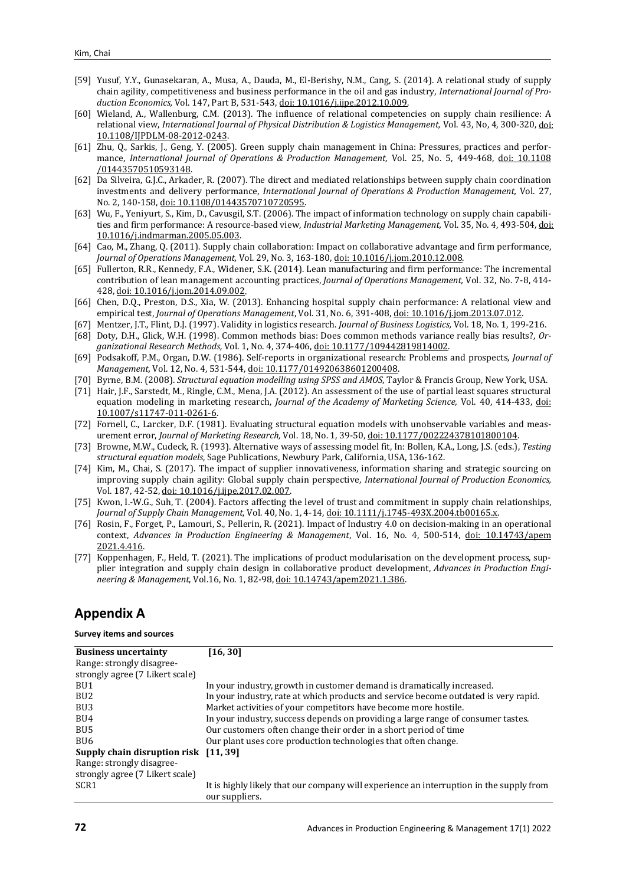- [59] Yusuf, Y.Y., Gunasekaran, A., Musa, A., Dauda, M., El-Berishy, N.M., Cang, S. (2014). A relational study of supply chain agility, competitiveness and business performance in the oil and gas industry, *International Journal of Production Economics,* Vol. 147, Part B, 531-543[, doi: 10.1016/j.ijpe.2012.10.009.](https://doi.org/10.1016/j.ijpe.2012.10.009)
- [60] Wieland, A., Wallenburg, C.M. (2013). The influence of relational competencies on supply chain resilience: A relational view, *International Journal of Physical Distribution & Logistics Management,* Vol. 43, No, 4, 300-320[, doi:](https://doi.org/10.1108/IJPDLM-08-2012-0243)  [10.1108/IJPDLM-08-2012-0243.](https://doi.org/10.1108/IJPDLM-08-2012-0243)
- [61] Zhu, Q., Sarkis, J., Geng, Y. (2005). Green supply chain management in China: Pressures, practices and performance, *International Journal of Operations & Production Management,* Vol. 25, No. 5, 449-468, [doi: 10.1108](https://doi.org/10.1108/01443570510593148) [/01443570510593148.](https://doi.org/10.1108/01443570510593148)
- [62] Da Silveira, G.J.C., Arkader, R. (2007). The direct and mediated relationships between supply chain coordination investments and delivery performance, *International Journal of Operations & Production Management,* Vol. 27, No. 2, 140-158[, doi: 10.1108/01443570710720595.](https://doi.org/10.1108/01443570710720595)
- [63] Wu, F., Yeniyurt, S., Kim, D., Cavusgil, S.T. (2006). The impact of information technology on supply chain capabilities and firm performance: A resource-based view, *Industrial Marketing Management,* Vol. 35, No. 4, 493-504[, doi:](https://doi.org/10.1016/j.indmarman.2005.05.003)  [10.1016/j.indmarman.2005.05.003.](https://doi.org/10.1016/j.indmarman.2005.05.003)
- [64] Cao, M., Zhang, Q. (2011). Supply chain collaboration: Impact on collaborative advantage and firm performance, *Journal of Operations Management,* Vol. 29, No. 3, 163-180, [doi: 10.1016/j.jom.2010.12.008.](https://doi.org/10.1016/j.jom.2010.12.008)
- [65] Fullerton, R.R., Kennedy, F.A., Widener, S.K. (2014). Lean manufacturing and firm performance: The incremental contribution of lean management accounting practices, *Journal of Operations Management,* Vol. 32, No. 7-8, 414- 428[, doi: 10.1016/j.jom.2014.09.002.](https://doi.org/10.1016/j.jom.2014.09.002)
- [66] Chen, D.Q., Preston, D.S., Xia, W. (2013). Enhancing hospital supply chain performance: A relational view and empirical test, *Journal of Operations Management*, Vol. 31, No. 6, 391-408[, doi: 10.1016/j.jom.2013.07.012.](https://doi.org/10.1016/j.jom.2013.07.012)
- [67] Mentzer, J.T., Flint, D.J. (1997). Validity in logistics research. *Journal of Business Logistics,* Vol. 18, No. 1, 199-216.
- [68] Doty, D.H., Glick, W.H. (1998). Common methods bias: Does common methods variance really bias results?, *Organizational Research Methods,* Vol. 1, No. 4, 374-406[, doi: 10.1177/109442819814002.](https://doi.org/10.1177/109442819814002)
- [69] Podsakoff, P.M., Organ, D.W. (1986). Self-reports in organizational research: Problems and prospects, *Journal of Management,* Vol. 12, No. 4, 531-544[, doi: 10.1177/014920638601200408.](https://doi.org/10.1177/014920638601200408)
- [70] Byrne, B.M. (2008). *Structural equation modelling using SPSS and AMOS*, Taylor & Francis Group, New York, USA.
- [71] Hair, J.F., Sarstedt, M., Ringle, C.M., Mena, J.A. (2012). An assessment of the use of partial least squares structural equation modeling in marketing research, *Journal of the Academy of Marketing Science,* Vol. 40, 414-433, [doi:](https://doi.org/10.1007/s11747-011-0261-6)  [10.1007/s11747-011-0261-6.](https://doi.org/10.1007/s11747-011-0261-6)
- [72] Fornell, C., Larcker, D.F. (1981). Evaluating structural equation models with unobservable variables and measurement error, *Journal of Marketing Research,* Vol. 18, No. 1, 39-50[, doi: 10.1177/002224378101800104.](https://doi.org/10.1177/002224378101800104)
- [73] Browne, M.W., Cudeck, R. (1993). Alternative ways of assessing model fit, In: Bollen, K.A., Long, J.S. (eds.), *Testing structural equation models*, Sage Publications, Newbury Park, California, USA, 136-162.
- [74] Kim, M., Chai, S. (2017). The impact of supplier innovativeness, information sharing and strategic sourcing on improving supply chain agility: Global supply chain perspective, *International Journal of Production Economics,* Vol. 187, 42-52[, doi: 10.1016/j.ijpe.2017.02.007.](https://doi.org/10.1016/j.ijpe.2017.02.007)
- [75] Kwon, I.-W.G., Suh, T. (2004). Factors affecting the level of trust and commitment in supply chain relationships, *Journal of Supply Chain Management*, Vol. 40, No. 1, 4-14[, doi: 10.1111/j.1745-493X.2004.tb00165.x.](https://doi.org/10.1111/j.1745-493X.2004.tb00165.x)
- [76] Rosin, F., Forget, P., Lamouri, S., Pellerin, R. (2021). Impact of Industry 4.0 on decision-making in an operational context, *Advances in Production Engineering & Management*, Vol. 16, No. 4, 500-514, [doi: 10.14743/apem](https://doi.org/10.14743/apem2021.4.416) [2021.4.416.](https://doi.org/10.14743/apem2021.4.416)
- [77] Koppenhagen, F., Held, T. (2021). The implications of product modularisation on the development process, supplier integration and supply chain design in collaborative product development, *Advances in Production Engineering & Management*, Vol.16, No. 1, 82-98[, doi: 10.14743/apem2021.1.386.](https://doi.org/10.14743/apem2021.1.386)

# **Appendix A**

#### **Survey items and sources**

| <b>Business uncertainty</b>           | [16, 30]                                                                                |
|---------------------------------------|-----------------------------------------------------------------------------------------|
| Range: strongly disagree-             |                                                                                         |
| strongly agree (7 Likert scale)       |                                                                                         |
| BU1                                   | In your industry, growth in customer demand is dramatically increased.                  |
| BU <sub>2</sub>                       | In your industry, rate at which products and service become outdated is very rapid.     |
| BU3                                   | Market activities of your competitors have become more hostile.                         |
| BU <sub>4</sub>                       | In your industry, success depends on providing a large range of consumer tastes.        |
| BU5                                   | Our customers often change their order in a short period of time                        |
| BU6                                   | Our plant uses core production technologies that often change.                          |
| Supply chain disruption risk [11, 39] |                                                                                         |
| Range: strongly disagree-             |                                                                                         |
| strongly agree (7 Likert scale)       |                                                                                         |
| SCR <sub>1</sub>                      | It is highly likely that our company will experience an interruption in the supply from |
|                                       | our suppliers.                                                                          |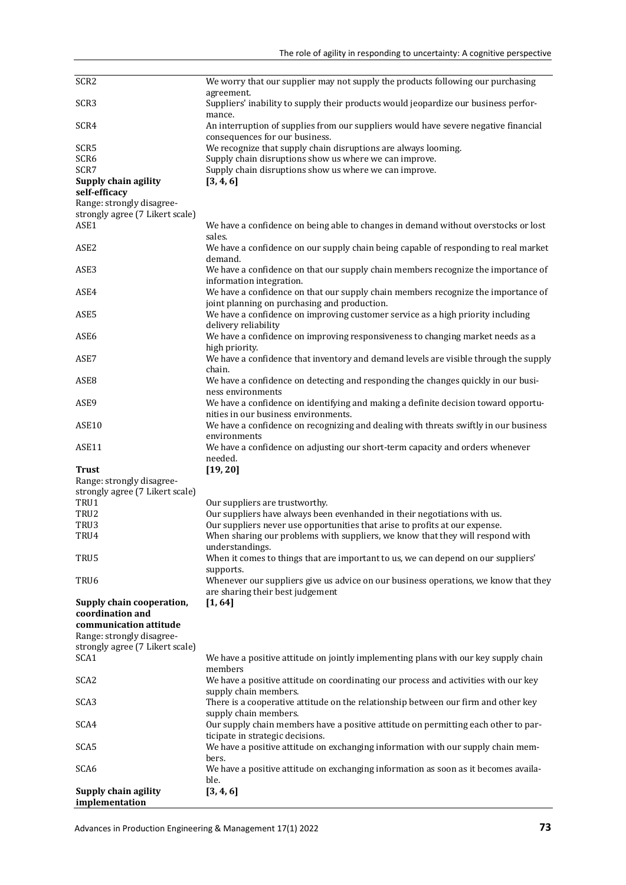| SCR <sub>2</sub>                      | We worry that our supplier may not supply the products following our purchasing                                                   |
|---------------------------------------|-----------------------------------------------------------------------------------------------------------------------------------|
|                                       | agreement.                                                                                                                        |
| SCR <sub>3</sub>                      | Suppliers' inability to supply their products would jeopardize our business perfor-<br>mance.                                     |
| SCR4                                  | An interruption of supplies from our suppliers would have severe negative financial<br>consequences for our business.             |
|                                       |                                                                                                                                   |
| SCR <sub>5</sub>                      | We recognize that supply chain disruptions are always looming.                                                                    |
| SCR6                                  | Supply chain disruptions show us where we can improve.                                                                            |
| SCR7                                  | Supply chain disruptions show us where we can improve.                                                                            |
| Supply chain agility<br>self-efficacy | [3, 4, 6]                                                                                                                         |
| Range: strongly disagree-             |                                                                                                                                   |
| strongly agree (7 Likert scale)       |                                                                                                                                   |
| ASE1                                  | We have a confidence on being able to changes in demand without overstocks or lost<br>sales.                                      |
| ASE <sub>2</sub>                      | We have a confidence on our supply chain being capable of responding to real market<br>demand.                                    |
| ASE <sub>3</sub>                      | We have a confidence on that our supply chain members recognize the importance of                                                 |
|                                       | information integration.                                                                                                          |
| ASE4                                  | We have a confidence on that our supply chain members recognize the importance of<br>joint planning on purchasing and production. |
| ASE5                                  | We have a confidence on improving customer service as a high priority including                                                   |
|                                       | delivery reliability                                                                                                              |
| ASE6                                  | We have a confidence on improving responsiveness to changing market needs as a                                                    |
| ASE7                                  | high priority.<br>We have a confidence that inventory and demand levels are visible through the supply                            |
|                                       | chain.                                                                                                                            |
| ASE <sub>8</sub>                      | We have a confidence on detecting and responding the changes quickly in our busi-                                                 |
|                                       | ness environments                                                                                                                 |
| ASE9                                  | We have a confidence on identifying and making a definite decision toward opportu-                                                |
|                                       | nities in our business environments.                                                                                              |
| ASE10                                 | We have a confidence on recognizing and dealing with threats swiftly in our business<br>environments                              |
| ASE11                                 | We have a confidence on adjusting our short-term capacity and orders whenever                                                     |
|                                       | needed.                                                                                                                           |
| <b>Trust</b>                          | [19, 20]                                                                                                                          |
| Range: strongly disagree-             |                                                                                                                                   |
| strongly agree (7 Likert scale)       |                                                                                                                                   |
| TRU1                                  | Our suppliers are trustworthy.                                                                                                    |
|                                       |                                                                                                                                   |
| TRU <sub>2</sub>                      | Our suppliers have always been evenhanded in their negotiations with us.                                                          |
| TRU3                                  | Our suppliers never use opportunities that arise to profits at our expense.                                                       |
| TRU4                                  | When sharing our problems with suppliers, we know that they will respond with                                                     |
|                                       | understandings.                                                                                                                   |
| TRU5                                  | When it comes to things that are important to us, we can depend on our suppliers'                                                 |
|                                       | supports.                                                                                                                         |
| TRU6                                  | Whenever our suppliers give us advice on our business operations, we know that they                                               |
|                                       | are sharing their best judgement                                                                                                  |
| Supply chain cooperation,             | [1, 64]                                                                                                                           |
| coordination and                      |                                                                                                                                   |
| communication attitude                |                                                                                                                                   |
| Range: strongly disagree-             |                                                                                                                                   |
| strongly agree (7 Likert scale)       |                                                                                                                                   |
| SCA1                                  | We have a positive attitude on jointly implementing plans with our key supply chain                                               |
|                                       |                                                                                                                                   |
|                                       | members                                                                                                                           |
| SCA <sub>2</sub>                      | We have a positive attitude on coordinating our process and activities with our key<br>supply chain members.                      |
| SCA <sub>3</sub>                      | There is a cooperative attitude on the relationship between our firm and other key                                                |
|                                       | supply chain members.                                                                                                             |
| SCA4                                  | Our supply chain members have a positive attitude on permitting each other to par-                                                |
|                                       | ticipate in strategic decisions.                                                                                                  |
| SCA5                                  | We have a positive attitude on exchanging information with our supply chain mem-                                                  |
|                                       | bers.                                                                                                                             |
| SCA <sub>6</sub>                      | We have a positive attitude on exchanging information as soon as it becomes availa-<br>ble.                                       |
| Supply chain agility                  | [3, 4, 6]                                                                                                                         |
| implementation                        |                                                                                                                                   |
|                                       |                                                                                                                                   |